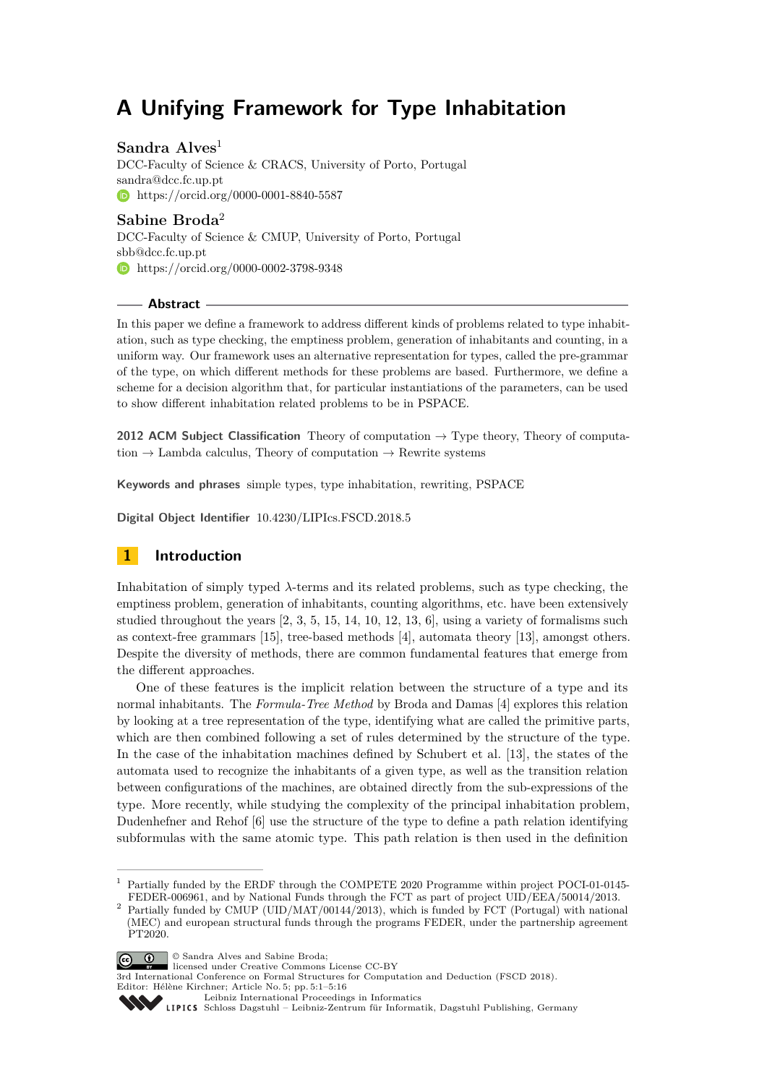# **A Unifying Framework for Type Inhabitation**

# **Sandra Alves**<sup>1</sup>

DCC-Faculty of Science & CRACS, University of Porto, Portugal [sandra@dcc.fc.up.pt](mailto:sandra@dcc.fc.up.pt) [https://orcid.org/0000-0001-8840-5587]( https://orcid.org/0000-0001-8840-5587)

**Sabine Broda**<sup>2</sup> DCC-Faculty of Science & CMUP, University of Porto, Portugal [sbb@dcc.fc.up.pt](mailto:sbb@dcc.fc.up.pt) **[https://orcid.org/0000-0002-3798-9348]( https://orcid.org/0000-0002-3798-9348)** 

**Abstract**

In this paper we define a framework to address different kinds of problems related to type inhabitation, such as type checking, the emptiness problem, generation of inhabitants and counting, in a uniform way. Our framework uses an alternative representation for types, called the pre-grammar of the type, on which different methods for these problems are based. Furthermore, we define a scheme for a decision algorithm that, for particular instantiations of the parameters, can be used to show different inhabitation related problems to be in PSPACE.

**2012 ACM Subject Classification** Theory of computation → Type theory, Theory of computation  $\rightarrow$  Lambda calculus, Theory of computation  $\rightarrow$  Rewrite systems

**Keywords and phrases** simple types, type inhabitation, rewriting, PSPACE

**Digital Object Identifier** [10.4230/LIPIcs.FSCD.2018.5](http://dx.doi.org/10.4230/LIPIcs.FSCD.2018.5)

# **1 Introduction**

Inhabitation of simply typed *λ*-terms and its related problems, such as type checking, the emptiness problem, generation of inhabitants, counting algorithms, etc. have been extensively studied throughout the years [\[2,](#page-14-0) [3,](#page-14-1) [5,](#page-14-2) [15,](#page-15-0) [14,](#page-15-1) [10,](#page-14-3) [12,](#page-15-2) [13,](#page-15-3) [6\]](#page-14-4), using a variety of formalisms such as context-free grammars [\[15\]](#page-15-0), tree-based methods [\[4\]](#page-14-5), automata theory [\[13\]](#page-15-3), amongst others. Despite the diversity of methods, there are common fundamental features that emerge from the different approaches.

One of these features is the implicit relation between the structure of a type and its normal inhabitants. The *Formula-Tree Method* by Broda and Damas [\[4\]](#page-14-5) explores this relation by looking at a tree representation of the type, identifying what are called the primitive parts, which are then combined following a set of rules determined by the structure of the type. In the case of the inhabitation machines defined by Schubert et al. [\[13\]](#page-15-3), the states of the automata used to recognize the inhabitants of a given type, as well as the transition relation between configurations of the machines, are obtained directly from the sub-expressions of the type. More recently, while studying the complexity of the principal inhabitation problem, Dudenhefner and Rehof [\[6\]](#page-14-4) use the structure of the type to define a path relation identifying subformulas with the same atomic type. This path relation is then used in the definition

<sup>2</sup> Partially funded by CMUP (UID/MAT/00144/2013), which is funded by FCT (Portugal) with national (MEC) and european structural funds through the programs FEDER, under the partnership agreement PT2020.





3rd International Conference on Formal Structures for Computation and Deduction (FSCD 2018). Editor: Hélène Kirchner; Article No. 5; pp. 5:1–5[:16](#page-15-4)

[Leibniz International Proceedings in Informatics](http://www.dagstuhl.de/lipics/)



<sup>1</sup> Partially funded by the ERDF through the COMPETE 2020 Programme within project POCI-01-0145- FEDER-006961, and by National Funds through the FCT as part of project UID/EEA/50014/2013.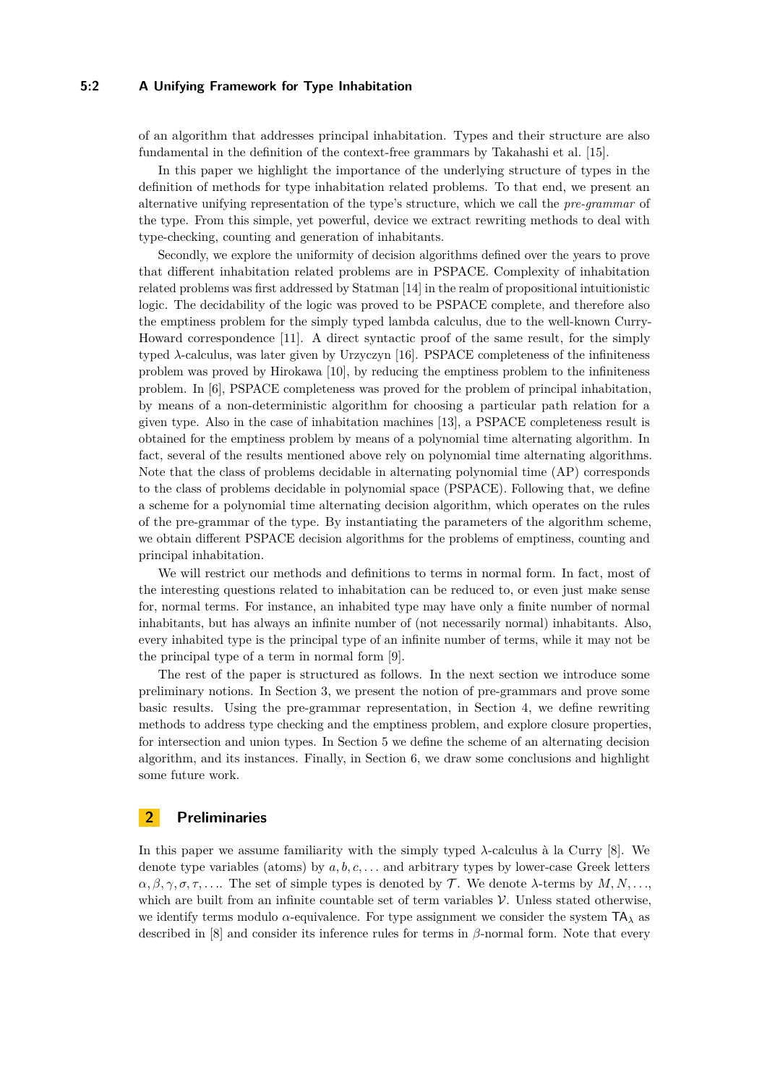## **5:2 A Unifying Framework for Type Inhabitation**

of an algorithm that addresses principal inhabitation. Types and their structure are also fundamental in the definition of the context-free grammars by Takahashi et al. [\[15\]](#page-15-0).

In this paper we highlight the importance of the underlying structure of types in the definition of methods for type inhabitation related problems. To that end, we present an alternative unifying representation of the type's structure, which we call the *pre-grammar* of the type. From this simple, yet powerful, device we extract rewriting methods to deal with type-checking, counting and generation of inhabitants.

Secondly, we explore the uniformity of decision algorithms defined over the years to prove that different inhabitation related problems are in PSPACE. Complexity of inhabitation related problems was first addressed by Statman [\[14\]](#page-15-1) in the realm of propositional intuitionistic logic. The decidability of the logic was proved to be PSPACE complete, and therefore also the emptiness problem for the simply typed lambda calculus, due to the well-known Curry-Howard correspondence [\[11\]](#page-15-5). A direct syntactic proof of the same result, for the simply typed *λ*-calculus, was later given by Urzyczyn [\[16\]](#page-15-6). PSPACE completeness of the infiniteness problem was proved by Hirokawa [\[10\]](#page-14-3), by reducing the emptiness problem to the infiniteness problem. In [\[6\]](#page-14-4), PSPACE completeness was proved for the problem of principal inhabitation, by means of a non-deterministic algorithm for choosing a particular path relation for a given type. Also in the case of inhabitation machines [\[13\]](#page-15-3), a PSPACE completeness result is obtained for the emptiness problem by means of a polynomial time alternating algorithm. In fact, several of the results mentioned above rely on polynomial time alternating algorithms. Note that the class of problems decidable in alternating polynomial time (AP) corresponds to the class of problems decidable in polynomial space (PSPACE). Following that, we define a scheme for a polynomial time alternating decision algorithm, which operates on the rules of the pre-grammar of the type. By instantiating the parameters of the algorithm scheme, we obtain different PSPACE decision algorithms for the problems of emptiness, counting and principal inhabitation.

We will restrict our methods and definitions to terms in normal form. In fact, most of the interesting questions related to inhabitation can be reduced to, or even just make sense for, normal terms. For instance, an inhabited type may have only a finite number of normal inhabitants, but has always an infinite number of (not necessarily normal) inhabitants. Also, every inhabited type is the principal type of an infinite number of terms, while it may not be the principal type of a term in normal form [\[9\]](#page-14-6).

The rest of the paper is structured as follows. In the next section we introduce some preliminary notions. In Section [3,](#page-3-0) we present the notion of pre-grammars and prove some basic results. Using the pre-grammar representation, in Section [4,](#page-4-0) we define rewriting methods to address type checking and the emptiness problem, and explore closure properties, for intersection and union types. In Section [5](#page-8-0) we define the scheme of an alternating decision algorithm, and its instances. Finally, in Section [6,](#page-14-7) we draw some conclusions and highlight some future work.

# **2 Preliminaries**

In this paper we assume familiarity with the simply typed *λ*-calculus à la Curry [\[8\]](#page-14-8). We denote type variables (atoms) by *a, b, c, . . .* and arbitrary types by lower-case Greek letters  $\alpha, \beta, \gamma, \sigma, \tau, \ldots$  The set of simple types is denoted by T. We denote  $\lambda$ -terms by  $M, N, \ldots$ which are built from an infinite countable set of term variables  $V$ . Unless stated otherwise, we identify terms modulo  $\alpha$ -equivalence. For type assignment we consider the system  $TA_{\lambda}$  as described in [\[8\]](#page-14-8) and consider its inference rules for terms in *β*-normal form. Note that every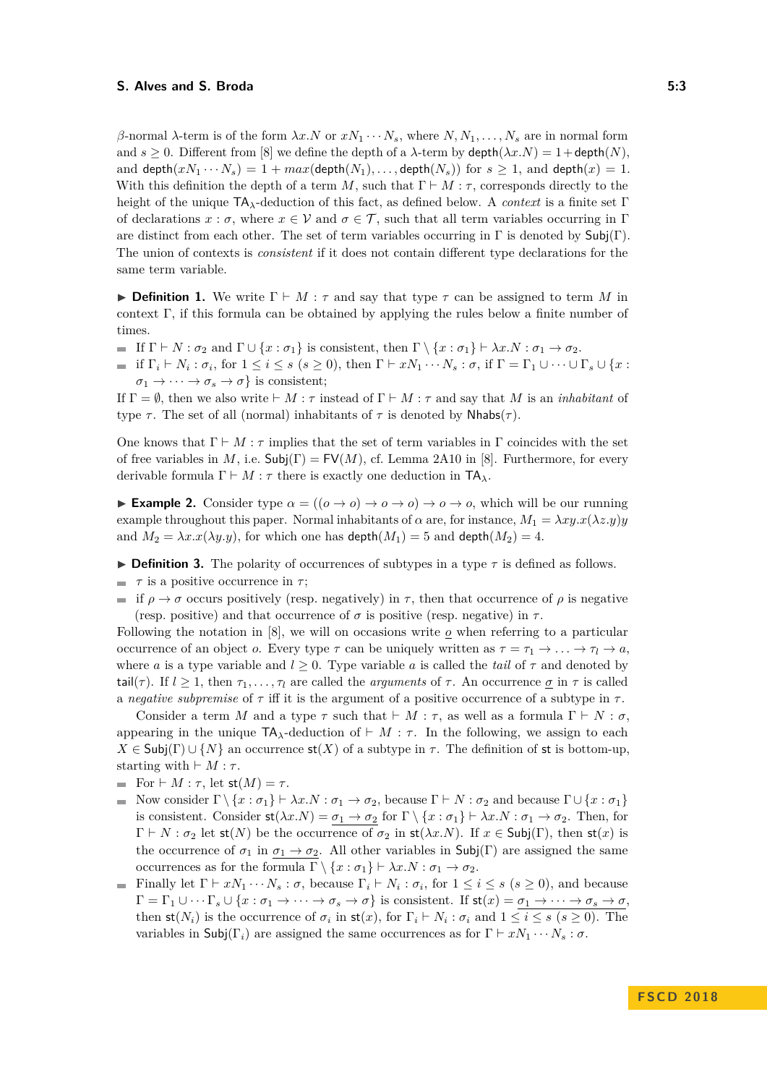*β*-normal *λ*-term is of the form  $\lambda x.N$  or  $xN_1 \cdots N_s$ , where  $N, N_1, \ldots, N_s$  are in normal form and  $s \geq 0$ . Different from [\[8\]](#page-14-8) we define the depth of a  $\lambda$ -term by depth $(\lambda x.N) = 1 + \text{depth}(N)$ , and depth $(xN_1 \cdots N_s) = 1 + max(\text{depth}(N_1), \ldots, \text{depth}(N_s))$  for  $s \ge 1$ , and depth $(x) = 1$ . With this definition the depth of a term M, such that  $\Gamma \vdash M : \tau$ , corresponds directly to the height of the unique TA*λ*-deduction of this fact, as defined below. A *context* is a finite set Γ of declarations  $x : \sigma$ , where  $x \in V$  and  $\sigma \in \mathcal{T}$ , such that all term variables occurring in  $\Gamma$ are distinct from each other. The set of term variables occurring in  $\Gamma$  is denoted by  $\mathsf{Subj}(\Gamma)$ . The union of contexts is *consistent* if it does not contain different type declarations for the same term variable.

**Definition 1.** We write  $\Gamma \vdash M : \tau$  and say that type  $\tau$  can be assigned to term M in context Γ, if this formula can be obtained by applying the rules below a finite number of times.

- If  $\Gamma \vdash N : \sigma_2$  and  $\Gamma \cup \{x : \sigma_1\}$  is consistent, then  $\Gamma \setminus \{x : \sigma_1\} \vdash \lambda x.N : \sigma_1 \to \sigma_2$ .
- if  $\Gamma_i \vdash N_i : \sigma_i$ , for  $1 \leq i \leq s$  ( $s \geq 0$ ), then  $\Gamma \vdash xN_1 \cdots N_s : \sigma$ , if  $\Gamma = \Gamma_1 \cup \cdots \cup \Gamma_s \cup \{x :$  $\sigma_1 \rightarrow \cdots \rightarrow \sigma_s \rightarrow \sigma$ } is consistent;

If  $\Gamma = \emptyset$ , then we also write  $\vdash M : \tau$  instead of  $\Gamma \vdash M : \tau$  and say that M is an *inhabitant* of type  $\tau$ . The set of all (normal) inhabitants of  $\tau$  is denoted by  $\mathsf{Nhabs}(\tau)$ .

One knows that  $\Gamma \vdash M : \tau$  implies that the set of term variables in  $\Gamma$  coincides with the set of free variables in *M*, i.e.  $\mathsf{Subj}(\Gamma) = \mathsf{FV}(M)$ , cf. Lemma 2A10 in [\[8\]](#page-14-8). Furthermore, for every derivable formula  $\Gamma \vdash M : \tau$  there is exactly one deduction in  $TA_\lambda$ .

<span id="page-2-1"></span>**Example 2.** Consider type  $\alpha = ((o \rightarrow o) \rightarrow o \rightarrow o) \rightarrow o \rightarrow o$ , which will be our running example throughout this paper. Normal inhabitants of  $\alpha$  are, for instance,  $M_1 = \lambda xy.x(\lambda z.y)y$ and  $M_2 = \lambda x.x(\lambda y.y)$ , for which one has  $\text{depth}(M_1) = 5$  and  $\text{depth}(M_2) = 4$ .

<span id="page-2-0"></span>I **Definition 3.** The polarity of occurrences of subtypes in a type *τ* is defined as follows.

 $\blacksquare$  *τ* is a positive occurrence in *τ*;

if  $\rho \rightarrow \sigma$  occurs positively (resp. negatively) in  $\tau$ , then that occurrence of  $\rho$  is negative (resp. positive) and that occurrence of  $\sigma$  is positive (resp. negative) in  $\tau$ .

Following the notation in [\[8\]](#page-14-8), we will on occasions write *o* when referring to a particular occurrence of an object *o*. Every type  $\tau$  can be uniquely written as  $\tau = \tau_1 \rightarrow \ldots \rightarrow \tau_l \rightarrow a$ , where *a* is a type variable and  $l \geq 0$ . Type variable *a* is called the *tail* of  $\tau$  and denoted by tail( $\tau$ ). If  $l \geq 1$ , then  $\tau_1, \ldots, \tau_l$  are called the *arguments* of  $\tau$ . An occurrence  $\sigma$  in  $\tau$  is called a *negative subpremise* of *τ* iff it is the argument of a positive occurrence of a subtype in *τ* .

Consider a term *M* and a type  $\tau$  such that  $\vdash M : \tau$ , as well as a formula  $\Gamma \vdash N : \sigma$ , appearing in the unique  $TA_\lambda$ -deduction of  $\vdash M : \tau$ . In the following, we assign to each  $X \in Sub(\Gamma) \cup \{N\}$  an occurrence  $st(X)$  of a subtype in  $\tau$ . The definition of st is bottom-up, starting with  $\vdash M : \tau$ .

- For  $\vdash M : \tau$ , let  $\mathsf{st}(M) = \tau$ .
- $\blacksquare$  Now consider Γ \{*x* : *σ*<sub>1</sub>}  $\vdash \lambda x.N$  : *σ*<sub>1</sub> → *σ*<sub>2</sub>, because Γ  $\vdash N$  : *σ*<sub>2</sub> and because Γ  $\cup$  {*x* : *σ*<sub>1</sub>} is consistent. Consider  $\mathsf{st}(\lambda x.N) = \sigma_1 \to \sigma_2$  for  $\Gamma \setminus \{x : \sigma_1\} \vdash \lambda x.N : \sigma_1 \to \sigma_2$ . Then, for  $Γ ⊢ N : σ<sub>2</sub>$  let st(*N*) be the occurrence of *σ*<sub>2</sub> in st(*λx.N*). If *x* ∈ Subj(Γ), then st(*x*) is the occurrence of  $\sigma_1$  in  $\sigma_1 \to \sigma_2$ . All other variables in Subj(Γ) are assigned the same occurrences as for the formula  $\Gamma \setminus \{x : \sigma_1\} \vdash \lambda x. N : \sigma_1 \to \sigma_2$ .
- Finally let  $\Gamma \vdash xN_1 \cdots N_s : \sigma$ , because  $\Gamma_i \vdash N_i : \sigma_i$ , for  $1 \leq i \leq s$  ( $s \geq 0$ ), and because  $\Gamma = \Gamma_1 \cup \cdots \Gamma_s \cup \{x : \sigma_1 \to \cdots \to \sigma_s \to \sigma\}$  is consistent. If  $\mathsf{st}(x) = \sigma_1 \to \cdots \to \sigma_s \to \sigma$ , then  $\mathsf{st}(N_i)$  is the occurrence of  $\sigma_i$  in  $\mathsf{st}(x)$ , for  $\Gamma_i \vdash N_i : \sigma_i$  and  $1 \leq i \leq s$  ( $s \geq 0$ ). The variables in  $\textsf{Subj}(\Gamma_i)$  are assigned the same occurrences as for  $\Gamma \vdash xN_1 \cdots N_s : \sigma$ .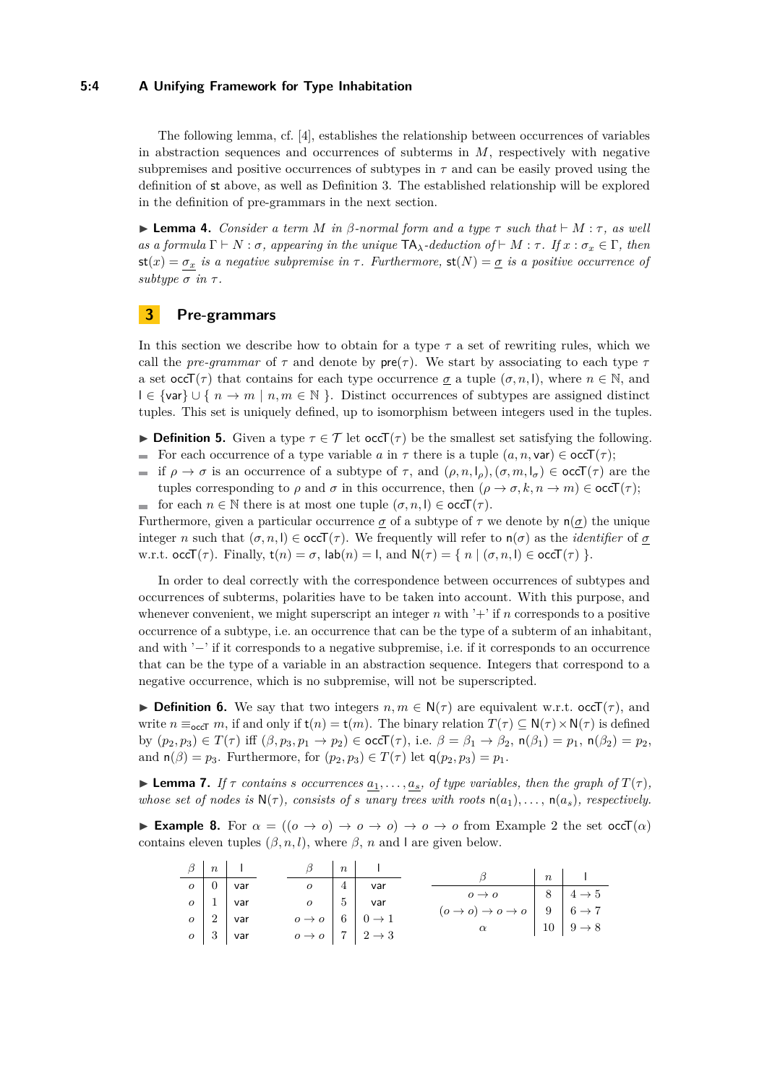#### **5:4 A Unifying Framework for Type Inhabitation**

The following lemma, cf. [\[4\]](#page-14-5), establishes the relationship between occurrences of variables in abstraction sequences and occurrences of subterms in *M*, respectively with negative subpremises and positive occurrences of subtypes in  $\tau$  and can be easily proved using the definition of st above, as well as Definition [3.](#page-2-0) The established relationship will be explored in the definition of pre-grammars in the next section.

<span id="page-3-2"></span> $\blacktriangleright$  **Lemma 4.** *Consider a term M in*  $\beta$ *-normal form and a type*  $\tau$  *such that*  $\vdash M : \tau$ *, as well as a formula*  $\Gamma \vdash N : \sigma$ *, appearing in the unique*  $TA_{\lambda}$ *-deduction of*  $\vdash M : \tau$ *. If*  $x : \sigma_x \in \Gamma$ *, then*  $\mathsf{st}(x) = \sigma_x$  *is a negative subpremise in*  $\tau$ . Furthermore,  $\mathsf{st}(N) = \sigma_x$  *is a positive occurrence of subtype*  $\sigma$  *in*  $\tau$ *.* 

## <span id="page-3-0"></span>**3 Pre-grammars**

In this section we describe how to obtain for a type *τ* a set of rewriting rules, which we call the *pre-grammar* of  $\tau$  and denote by  $\text{pre}(\tau)$ . We start by associating to each type  $\tau$ a set  $oc\bar{c}(\tau)$  that contains for each type occurrence  $\sigma$  a tuple  $(\sigma, n, l)$ , where  $n \in \mathbb{N}$ , and l ∈ {var} ∪ { *n* → *m* | *n, m* ∈ N }. Distinct occurrences of subtypes are assigned distinct tuples. This set is uniquely defined, up to isomorphism between integers used in the tuples.

- **Definition 5.** Given a type  $\tau \in \mathcal{T}$  let  $\text{occT}(\tau)$  be the smallest set satisfying the following.
- For each occurrence of a type variable *a* in  $\tau$  there is a tuple  $(a, n, \text{var}) \in \text{occ}(\tau)$ ;
- if  $\rho \to \sigma$  is an occurrence of a subtype of  $\tau$ , and  $(\rho, n, l_{\rho}), (\sigma, m, l_{\sigma}) \in \text{occ}(\tau)$  are the  $\equiv$ tuples corresponding to  $\rho$  and  $\sigma$  in this occurrence, then  $(\rho \to \sigma, k, n \to m) \in \text{occ}(\tau);$
- for each  $n \in \mathbb{N}$  there is at most one tuple  $(\sigma, n, l) \in \text{occ}\Gamma(\tau)$ .

Furthermore, given a particular occurrence *σ* of a subtype of *τ* we denote by n(*σ*) the unique integer *n* such that  $(\sigma, n, l) \in \text{occ}(\tau)$ . We frequently will refer to  $n(\sigma)$  as the *identifier* of  $\sigma$ w.r.t.  $\text{occ}\mathsf{T}(\tau)$ . Finally,  $\mathsf{t}(n) = \sigma$ ,  $\text{lab}(n) = \mathsf{l}$ , and  $\mathsf{N}(\tau) = \{ n \mid (\sigma, n, \mathsf{l}) \in \text{occ}\mathsf{T}(\tau) \}$ .

In order to deal correctly with the correspondence between occurrences of subtypes and occurrences of subterms, polarities have to be taken into account. With this purpose, and whenever convenient, we might superscript an integer  $n$  with  $'$ + if  $n$  corresponds to a positive occurrence of a subtype, i.e. an occurrence that can be the type of a subterm of an inhabitant, and with '−' if it corresponds to a negative subpremise, i.e. if it corresponds to an occurrence that can be the type of a variable in an abstraction sequence. Integers that correspond to a negative occurrence, which is no subpremise, will not be superscripted.

**► Definition 6.** We say that two integers  $n, m \in \mathsf{N}(\tau)$  are equivalent w.r.t. occT( $\tau$ ), and write  $n \equiv_{\text{occ}} m$ , if and only if  $t(n) = t(m)$ . The binary relation  $T(\tau) \subseteq N(\tau) \times N(\tau)$  is defined by (*p*2*, p*3) ∈ *T*(*τ* ) iff (*β, p*3*, p*<sup>1</sup> → *p*2) ∈ occT(*τ* ), i.e. *β* = *β*<sup>1</sup> → *β*2, n(*β*1) = *p*1, n(*β*2) = *p*2, and  $n(\beta) = p_3$ . Furthermore, for  $(p_2, p_3) \in T(\tau)$  let  $q(p_2, p_3) = p_1$ .

**Example 7.** *If*  $\tau$  *contains s occurrences*  $a_1, \ldots, a_s$ *, of type variables, then the graph of*  $T(\tau)$ *, whose set of nodes is*  $N(\tau)$ *, consists of s unary trees with roots*  $n(a_1), \ldots, n(a_s)$ *, respectively.* 

<span id="page-3-1"></span>**Example 8.** For  $\alpha = ((\alpha \to \alpha) \to \alpha \to \alpha) \to \alpha \to \alpha$  from Example [2](#page-2-1) the set  $\text{occ}(\alpha)$ contains eleven tuples  $(\beta, n, l)$ , where  $\beta$ , *n* and l are given below.

|  | $\beta \mid n \mid 1$ |                                       | $\beta$   $n$   1                                                       |                                           |  |
|--|-----------------------|---------------------------------------|-------------------------------------------------------------------------|-------------------------------------------|--|
|  | $\boxed{o}$ 0 var     |                                       | $o \mid 4$ var                                                          |                                           |  |
|  | $o \mid 1$ var        |                                       | $\begin{array}{c c} o & 5 & \text{var} \end{array}$                     | $o \rightarrow o$   8   4 $\rightarrow$ 5 |  |
|  | $o \mid 2$ var        | $o \rightarrow o$ 6 0 $\rightarrow$ 1 | $(o \rightarrow o) \rightarrow o \rightarrow o$   9   6 $\rightarrow$ 7 |                                           |  |
|  | $o \mid 3$ var        |                                       | $o \rightarrow o$ 7 2 $\rightarrow$ 3                                   | $\alpha$   10   9 $\rightarrow$ 8         |  |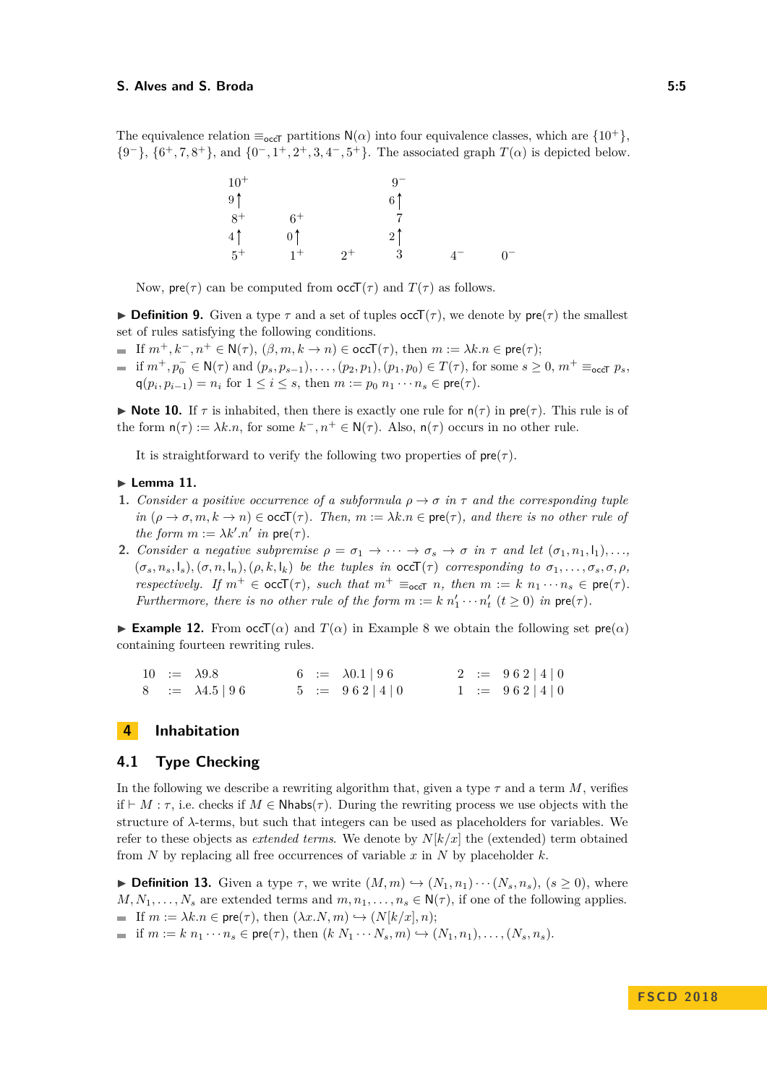The equivalence relation  $\equiv_{\text{ocf}}$  partitions  $N(\alpha)$  into four equivalence classes, which are  $\{10^+\}$ ,  $\{9^{-}\}, \{6^{+}, 7, 8^{+}\}, \text{ and } \{0^{-}, 1^{+}, 2^{+}, 3, 4^{-}, 5^{+}\}.$  The associated graph  $T(\alpha)$  is depicted below.

| $10^{+}$       |                |      | Q              |            |          |
|----------------|----------------|------|----------------|------------|----------|
| 9 <sup>†</sup> |                |      | 6 <sup>1</sup> |            |          |
| $8^+$          | $6+$           |      |                |            |          |
| 4 <sup>1</sup> | 0 <sup>1</sup> |      | 2 <sup>1</sup> |            |          |
| $5^+$          | $1+$           | $2+$ | 3              | $\Delta$ - | $\Omega$ |

Now,  $\text{pre}(\tau)$  can be computed from  $\text{occ}\Gamma(\tau)$  and  $T(\tau)$  as follows.

**Definition 9.** Given a type  $\tau$  and a set of tuples  $\text{occT}(\tau)$ , we denote by  $\text{pre}(\tau)$  the smallest set of rules satisfying the following conditions.

- $$
- if  $m^+, p_0^- \in N(\tau)$  and  $(p_s, p_{s-1}), \ldots, (p_2, p_1), (p_1, p_0) \in T(\tau)$ , for some  $s \geq 0$ ,  $m^+ \equiv_{\text{occ } T} p_s$ ,  $q(p_i, p_{i-1}) = n_i$  for  $1 \le i \le s$ , then  $m := p_0 \ n_1 \cdots n_s \in \text{pre}(\tau)$ .

<span id="page-4-3"></span>**If Note 10.** If  $\tau$  is inhabited, then there is exactly one rule for  $n(\tau)$  in  $\text{pre}(\tau)$ . This rule is of the form  $n(\tau) := \lambda k.n$ , for some  $k^-, n^+ \in N(\tau)$ . Also,  $n(\tau)$  occurs in no other rule.

It is straightforward to verify the following two properties of  $pre(\tau)$ .

#### <span id="page-4-1"></span> $\blacktriangleright$  Lemma 11.

- **1.** *Consider a positive occurrence of a subformula*  $\rho \rightarrow \sigma$  *in*  $\tau$  *and the corresponding tuple*  $in (\rho \to \sigma, m, k \to n) \in \text{occ } \mathsf{T}(\tau)$ *. Then,*  $m := \lambda k.n \in \text{pre}(\tau)$ *, and there is no other rule of the form*  $m := \lambda k'.n'$  *in*  $\text{pre}(\tau)$ *.*
- **2.** *Consider a negative subpremise*  $\rho = \sigma_1 \rightarrow \cdots \rightarrow \sigma_s \rightarrow \sigma$  *in*  $\tau$  *and let*  $(\sigma_1, n_1, l_1), \ldots$  $(\sigma_s, n_s, l_s), (\sigma, n, l_n), (\rho, k, l_k)$  be the tuples in  $\text{occ}(\tau)$  corresponding to  $\sigma_1, \ldots, \sigma_s, \sigma, \rho$ , *respectively. If*  $m^+ \in \text{occ}(\tau)$ *, such that*  $m^+ \equiv_{\text{occ}} \tau n$ *, then*  $m := k \ n_1 \cdots n_s \in \text{pre}(\tau)$ *. Furthermore, there is no other rule of the form*  $m := k n'_1 \cdots n'_t$  *(* $t \ge 0$ *) in*  $\mathsf{pre}(\tau)$ *<i>.*

**Example 12.** From  $\text{occ}(\alpha)$  and  $T(\alpha)$  in Example [8](#page-3-1) we obtain the following set  $\text{pre}(\alpha)$ containing fourteen rewriting rules.

10 :=  $\lambda 9.8$  6 :=  $\lambda 0.1 | 96$  2 :=  $962 | 4 | 0$ 8 :=  $\lambda 4.5 | 96$  5 :=  $962 | 4 | 0$  1 :=  $962 | 4 | 0$ 

## <span id="page-4-0"></span>**4 Inhabitation**

## **4.1 Type Checking**

In the following we describe a rewriting algorithm that, given a type  $\tau$  and a term  $M$ , verifies if  $\vdash M : \tau$ , i.e. checks if  $M \in \mathsf{N}$  habs( $\tau$ ). During the rewriting process we use objects with the structure of *λ*-terms, but such that integers can be used as placeholders for variables. We refer to these objects as *extended terms*. We denote by *N*[*k/x*] the (extended) term obtained from *N* by replacing all free occurrences of variable *x* in *N* by placeholder *k*.

<span id="page-4-2"></span>**► Definition 13.** Given a type  $\tau$ , we write  $(M, m) \leftrightarrow (N_1, n_1) \cdots (N_s, n_s)$ ,  $(s \geq 0)$ , where  $M, N_1, \ldots, N_s$  are extended terms and  $m, n_1, \ldots, n_s \in N(\tau)$ , if one of the following applies.  $\blacksquare$  If  $m := \lambda k.n \in \text{pre}(\tau)$ , then  $(\lambda x.N, m) \hookrightarrow (N[k/x], n);$ 

 $\blacksquare$  if  $m := k \, n_1 \cdots n_s \in \text{pre}(\tau)$ , then  $(k \, N_1 \cdots N_s, m) \hookrightarrow (N_1, n_1), \ldots, (N_s, n_s).$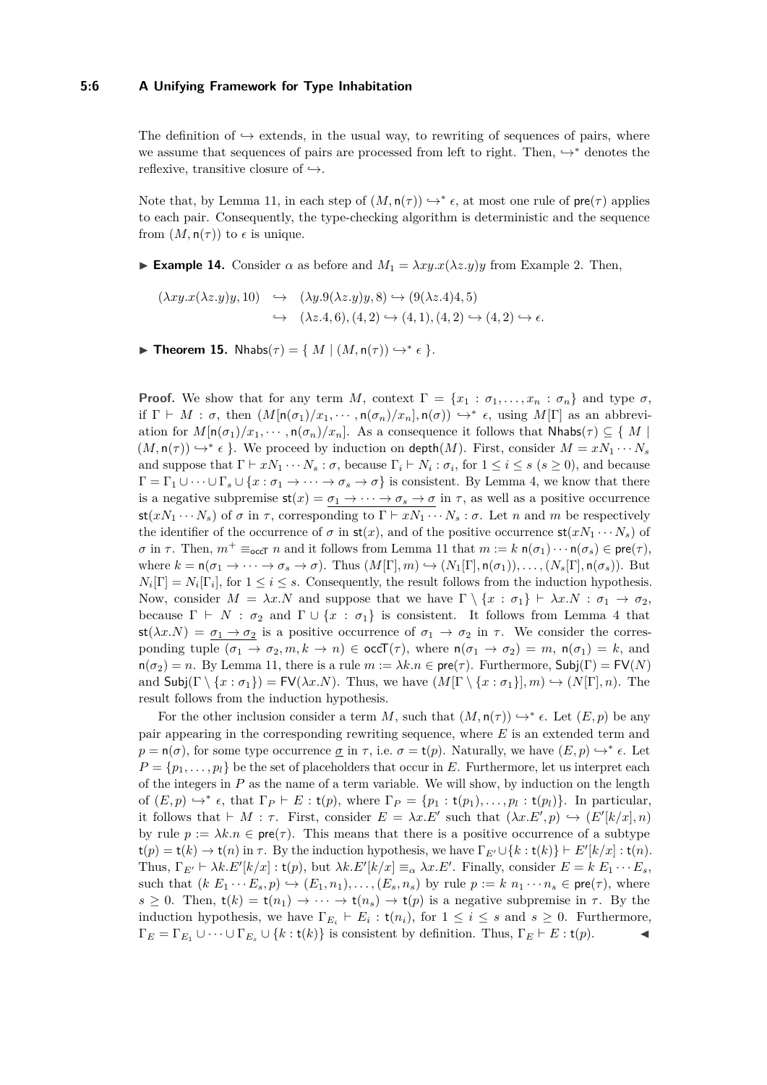#### **5:6 A Unifying Framework for Type Inhabitation**

The definition of  $\hookrightarrow$  extends, in the usual way, to rewriting of sequences of pairs, where we assume that sequences of pairs are processed from left to right. Then,  $\rightarrow^*$  denotes the reflexive, transitive closure of  $\hookrightarrow$ .

Note that, by Lemma [11,](#page-4-1) in each step of  $(M, n(\tau)) \hookrightarrow^* \epsilon$ , at most one rule of  $pre(\tau)$  applies to each pair. Consequently, the type-checking algorithm is deterministic and the sequence from  $(M, n(\tau))$  to  $\epsilon$  is unique.

**Example 14.** Consider  $\alpha$  as before and  $M_1 = \lambda xy.x(\lambda z.y)y$  from Example [2.](#page-2-1) Then,

$$
(\lambda xy. x(\lambda z. y)y, 10) \rightarrow (\lambda y. 9(\lambda z. y)y, 8) \rightarrow (9(\lambda z. 4)4, 5)
$$
  

$$
\rightarrow (\lambda z. 4, 6), (4, 2) \rightarrow (4, 1), (4, 2) \rightarrow (4, 2) \rightarrow \epsilon.
$$

<span id="page-5-0"></span>**► Theorem 15.** Nhabs( $\tau$ ) = {  $M \mid (M, n(\tau)) \hookrightarrow^* \epsilon$  }*.* 

**Proof.** We show that for any term *M*, context  $\Gamma = \{x_1 : \sigma_1, \ldots, x_n : \sigma_n\}$  and type  $\sigma$ , if  $\Gamma \vdash M : \sigma$ , then  $(M[\mathsf{n}(\sigma_1)/x_1,\cdots,\mathsf{n}(\sigma_n)/x_n],\mathsf{n}(\sigma)) \hookrightarrow^* \epsilon$ , using  $M[\Gamma]$  as an abbreviation for  $M[\mathsf{n}(\sigma_1)/x_1,\cdots,\mathsf{n}(\sigma_n)/x_n]$ . As a consequence it follows that  $\mathsf{Nhabs}(\tau) \subseteq \{M \mid \mathsf{Nohs}(\tau)\}$  $(M, \mathsf{n}(\tau)) \hookrightarrow^* \epsilon$ . We proceed by induction on depth $(M)$ . First, consider  $M = xN_1 \cdots N_s$ and suppose that  $\Gamma \vdash xN_1 \cdots N_s : \sigma$ , because  $\Gamma_i \vdash N_i : \sigma_i$ , for  $1 \leq i \leq s$  ( $s \geq 0$ ), and because  $\Gamma = \Gamma_1 \cup \cdots \cup \Gamma_s \cup \{x : \sigma_1 \to \cdots \to \sigma_s \to \sigma\}$  is consistent. By Lemma [4,](#page-3-2) we know that there is a negative subpremise  $\mathsf{st}(x) = \sigma_1 \to \cdots \to \sigma_s \to \sigma$  in  $\tau$ , as well as a positive occurrence st( $xN_1 \cdots N_s$ ) of  $\sigma$  in  $\tau$ , corresponding to  $\Gamma \vdash xN_1 \cdots N_s : \sigma$ . Let *n* and *m* be respectively the identifier of the occurrence of  $\sigma$  in  $\mathsf{st}(x)$ , and of the positive occurrence  $\mathsf{st}(xN_1 \cdots N_s)$  of  $\sigma$  in  $\tau$ . Then,  $m^+ \equiv_{\text{occT}} n$  and it follows from Lemma [11](#page-4-1) that  $m := k \cdot n(\sigma_1) \cdots n(\sigma_s) \in \text{pre}(\tau)$ , where  $k = n(\sigma_1 \to \cdots \to \sigma_s \to \sigma)$ . Thus  $(M[\Gamma], m) \hookrightarrow (N_1[\Gamma], n(\sigma_1)), \ldots, (N_s[\Gamma], n(\sigma_s))$ . But  $N_i[\Gamma] = N_i[\Gamma_i]$ , for  $1 \le i \le s$ . Consequently, the result follows from the induction hypothesis. Now, consider  $M = \lambda x.N$  and suppose that we have  $\Gamma \setminus \{x : \sigma_1\} \vdash \lambda x.N : \sigma_1 \to \sigma_2$ , because  $\Gamma \vdash N : \sigma_2$  and  $\Gamma \cup \{x : \sigma_1\}$  is consistent. It follows from Lemma [4](#page-3-2) that  $st(\lambda x.N) = \sigma_1 \rightarrow \sigma_2$  is a positive occurrence of  $\sigma_1 \rightarrow \sigma_2$  in  $\tau$ . We consider the corresponding tuple  $(\sigma_1 \to \sigma_2, m, k \to n) \in \text{occ}\mathsf{T}(\tau)$ , where  $\mathsf{n}(\sigma_1 \to \sigma_2) = m$ ,  $\mathsf{n}(\sigma_1) = k$ , and  $n(\sigma_2) = n$ . By Lemma [11,](#page-4-1) there is a rule  $m := \lambda k.n \in \text{pre}(\tau)$ . Furthermore,  $\text{Subj}(\Gamma) = \text{FV}(N)$ and  $\textsf{Subj}(\Gamma \setminus \{x : \sigma_1\}) = \textsf{FV}(\lambda x.N)$ . Thus, we have  $(M[\Gamma \setminus \{x : \sigma_1\}], m) \hookrightarrow (N[\Gamma], n)$ . The result follows from the induction hypothesis.

For the other inclusion consider a term *M*, such that  $(M, n(\tau)) \hookrightarrow^* \epsilon$ . Let  $(E, p)$  be any pair appearing in the corresponding rewriting sequence, where *E* is an extended term and  $p = \mathsf{n}(\sigma)$ , for some type occurrence  $\underline{\sigma}$  in  $\tau$ , i.e.  $\sigma = \mathsf{t}(p)$ . Naturally, we have  $(E, p) \hookrightarrow^* \epsilon$ . Let  $P = \{p_1, \ldots, p_l\}$  be the set of placeholders that occur in *E*. Furthermore, let us interpret each of the integers in *P* as the name of a term variable. We will show, by induction on the length of  $(E, p) \hookrightarrow^* \epsilon$ , that  $\Gamma_P \vdash E : t(p)$ , where  $\Gamma_P = \{p_1 : t(p_1), \ldots, p_l : t(p_l)\}$ . In particular, it follows that  $\vdash M : \tau$ . First, consider  $E = \lambda x.E'$  such that  $(\lambda x.E', p) \hookrightarrow (E'[k/x], n)$ by rule  $p := \lambda k.n \in \text{pre}(\tau)$ . This means that there is a positive occurrence of a subtype  $t(p) = t(k) \rightarrow t(n)$  in  $\tau$ . By the induction hypothesis, we have  $\Gamma_{E'} \cup \{k : t(k)\} \vdash E'[k/x] : t(n)$ . Thus,  $\Gamma_{E'} \vdash \lambda k.E'[k/x]: t(p)$ , but  $\lambda k.E'[k/x] \equiv_\alpha \lambda x.E'$ . Finally, consider  $E = k E_1 \cdots E_s$ , such that  $(k E_1 \cdots E_s, p) \hookrightarrow (E_1, n_1), \ldots, (E_s, n_s)$  by rule  $p := k n_1 \cdots n_s \in \text{pre}(\tau)$ , where  $s \geq 0$ . Then,  $t(k) = t(n_1) \rightarrow \cdots \rightarrow t(n_s) \rightarrow t(p)$  is a negative subpremise in  $\tau$ . By the induction hypothesis, we have  $\Gamma_{E_i} \vdash E_i : t(n_i)$ , for  $1 \leq i \leq s$  and  $s \geq 0$ . Furthermore,  $\Gamma_E = \Gamma_{E_1} \cup \cdots \cup \Gamma_{E_s} \cup \{k : \mathsf{t}(k)\}\$ is consistent by definition. Thus,  $\Gamma_E \vdash E : \mathsf{t}(p).$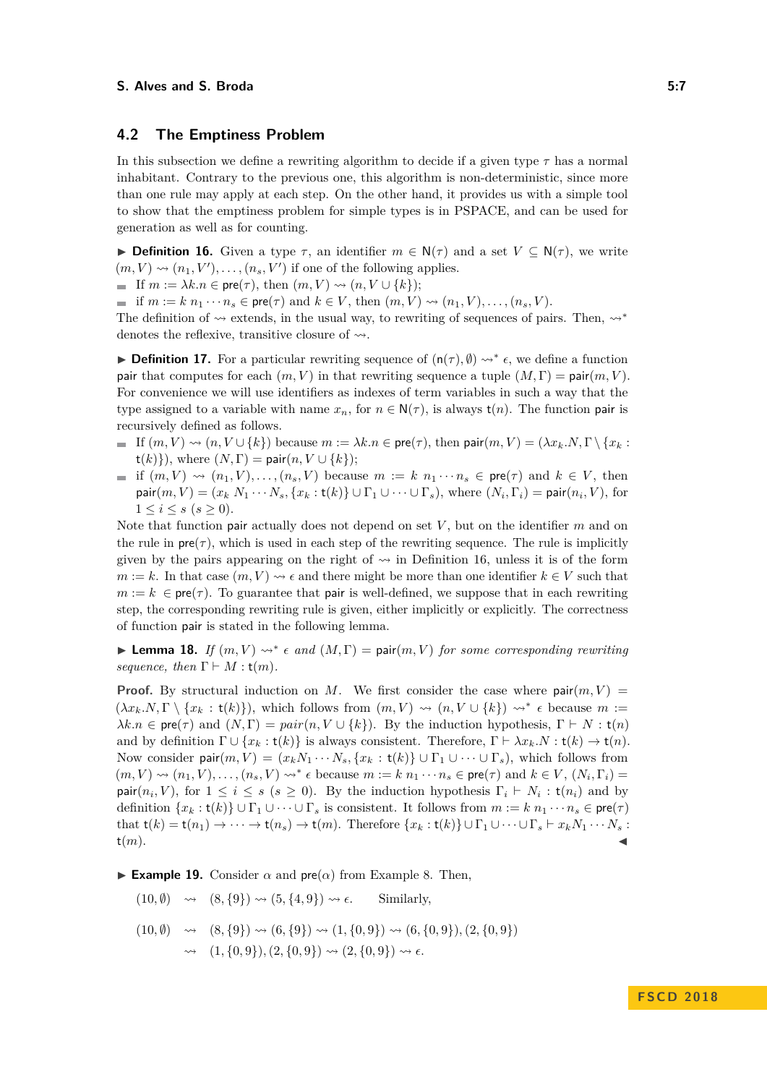## **4.2 The Emptiness Problem**

In this subsection we define a rewriting algorithm to decide if a given type *τ* has a normal inhabitant. Contrary to the previous one, this algorithm is non-deterministic, since more than one rule may apply at each step. On the other hand, it provides us with a simple tool to show that the emptiness problem for simple types is in PSPACE, and can be used for generation as well as for counting.

<span id="page-6-0"></span>**► Definition 16.** Given a type  $\tau$ , an identifier  $m \in N(\tau)$  and a set  $V \subseteq N(\tau)$ , we write  $(m, V) \rightsquigarrow (n_1, V'), \dots, (n_s, V')$  if one of the following applies.

If  $m := \lambda k.n \in \text{pre}(\tau)$ , then  $(m, V) \rightsquigarrow (n, V \cup \{k\})$ ;

 $\blacksquare$  if *m* := *k n*<sub>1</sub> · · · *n<sub>s</sub>* ∈ **pre**( $\tau$ ) and *k* ∈ *V*, then  $(m, V) \rightsquigarrow (n_1, V), \ldots, (n_s, V)$ .

The definition of  $\sim$  extends, in the usual way, to rewriting of sequences of pairs. Then,  $\sim$ <sup>\*</sup> denotes the reflexive, transitive closure of  $\rightsquigarrow$ .

**Definition 17.** For a particular rewriting sequence of  $(n(\tau), \emptyset) \rightsquigarrow^* \epsilon$ , we define a function pair that computes for each  $(m, V)$  in that rewriting sequence a tuple  $(M, \Gamma) = \text{pair}(m, V)$ . For convenience we will use identifiers as indexes of term variables in such a way that the type assigned to a variable with name  $x_n$ , for  $n \in N(\tau)$ , is always  $t(n)$ . The function pair is recursively defined as follows.

- If  $(m, V) \rightsquigarrow (n, V \cup \{k\})$  because  $m := \lambda k.n \in \text{pre}(\tau)$ , then  $\text{pair}(m, V) = (\lambda x_k.N, \Gamma \setminus \{x_k :$  $t(k)$ }), where  $(N, \Gamma) = \text{pair}(n, V \cup \{k\});$
- $\blacksquare$  if  $(m, V) \rightsquigarrow (n_1, V), \ldots, (n_s, V)$  because  $m := k \ n_1 \cdots n_s \in \text{pre}(\tau)$  and  $k \in V$ , then  $\mathsf{pair}(m,V) = (x_k \ N_1 \cdots N_s, \{x_k : \mathsf{t}(k)\} \cup \Gamma_1 \cup \cdots \cup \Gamma_s), \text{ where } (N_i, \Gamma_i) = \mathsf{pair}(n_i, V), \text{ for }$  $1 \leq i \leq s \ (s \geq 0).$

Note that function pair actually does not depend on set *V* , but on the identifier *m* and on the rule in  $\text{pre}(\tau)$ , which is used in each step of the rewriting sequence. The rule is implicitly given by the pairs appearing on the right of  $\sim$  in Definition [16,](#page-6-0) unless it is of the form  $m := k$ . In that case  $(m, V) \rightsquigarrow \epsilon$  and there might be more than one identifier  $k \in V$  such that  $m := k \in \text{pre}(\tau)$ . To guarantee that pair is well-defined, we suppose that in each rewriting step, the corresponding rewriting rule is given, either implicitly or explicitly. The correctness of function pair is stated in the following lemma.

<span id="page-6-1"></span>**Lemma 18.** *If*  $(m, V) \rightsquigarrow^* \epsilon$  and  $(M, \Gamma) = \text{pair}(m, V)$  for some corresponding rewriting *sequence, then*  $\Gamma \vdash M : t(m)$ *.* 

**Proof.** By structural induction on *M*. We first consider the case where pair $(m, V)$  =  $(\lambda x_k \cdot N, \Gamma \setminus \{x_k : t(k)\})$ , which follows from  $(m, V) \rightsquigarrow (n, V \cup \{k\}) \rightsquigarrow^* \epsilon$  because  $m :=$  $\lambda k.n \in \text{pre}(\tau)$  and  $(N,\Gamma) = pair(n, V \cup \{k\})$ . By the induction hypothesis,  $\Gamma \vdash N : t(n)$ and by definition  $\Gamma \cup \{x_k : t(k)\}\$ is always consistent. Therefore,  $\Gamma \vdash \lambda x_k N : t(k) \to t(n)$ . Now consider pair $(m, V) = (x_k N_1 \cdots N_s, \{x_k : t(k)\} \cup \Gamma_1 \cup \cdots \cup \Gamma_s)$ , which follows from  $(m, V) \rightsquigarrow (n_1, V), \ldots, (n_s, V) \rightsquigarrow^* \epsilon$  because  $m := k \ n_1 \cdots n_s \in \text{pre}(\tau)$  and  $k \in V, (N_i, \Gamma_i) =$  $\text{pair}(n_i, V)$ , for  $1 \leq i \leq s$  ( $s \geq 0$ ). By the induction hypothesis  $\Gamma_i \vdash N_i : t(n_i)$  and by definition  $\{x_k : t(k)\} \cup \Gamma_1 \cup \cdots \cup \Gamma_s$  is consistent. It follows from  $m := k n_1 \cdots n_s \in \text{pre}(\tau)$ that  $t(k) = t(n_1) \rightarrow \cdots \rightarrow t(n_s) \rightarrow t(m)$ . Therefore  $\{x_k : t(k)\} \cup \Gamma_1 \cup \cdots \cup \Gamma_s \vdash x_k N_1 \cdots N_s$ :  $t(m)$ .

<span id="page-6-2"></span>**Example 19.** Consider  $\alpha$  and  $pre(\alpha)$  from Example [8.](#page-3-1) Then,

$$
(10, \emptyset) \rightsquigarrow (8, \{9\}) \rightsquigarrow (5, \{4, 9\}) \rightsquigarrow \epsilon. \qquad \text{Similarly,}
$$

$$
(10, \emptyset) \rightsquigarrow (8, \{9\}) \rightsquigarrow (6, \{9\}) \rightsquigarrow (1, \{0, 9\}) \rightsquigarrow (6, \{0, 9\}), (2, \{0, 9\})
$$

$$
\rightsquigarrow (1, \{0, 9\}), (2, \{0, 9\}) \rightsquigarrow (2, \{0, 9\}) \rightsquigarrow \epsilon.
$$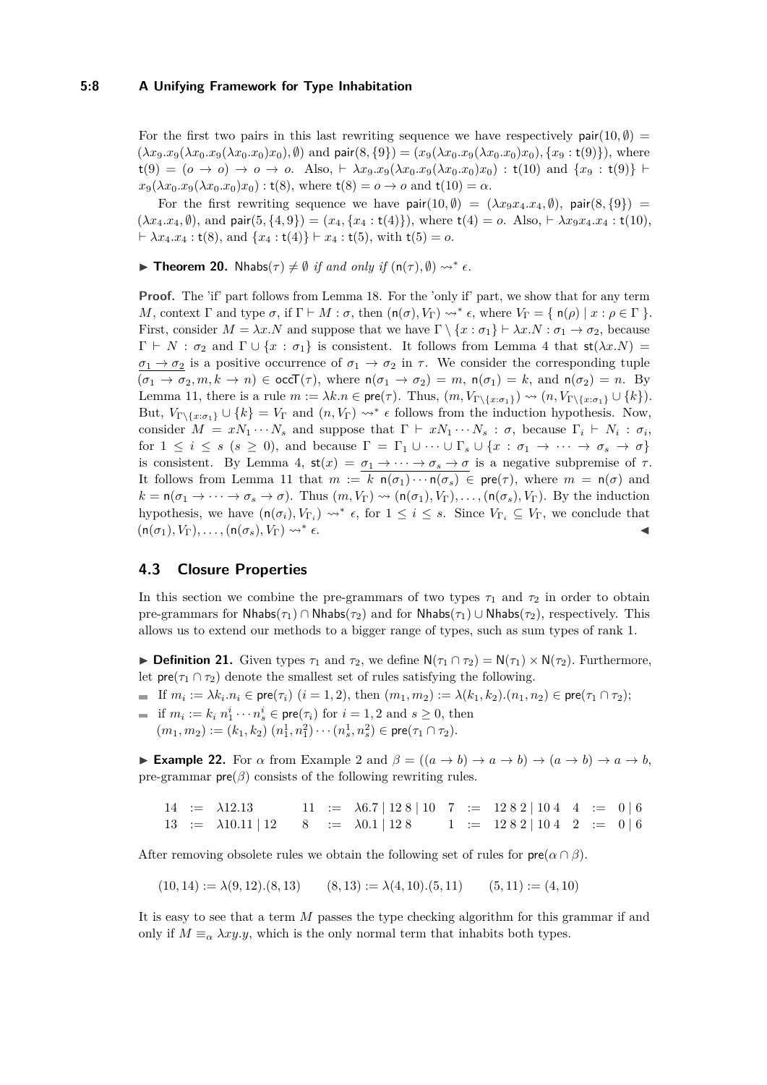## **5:8 A Unifying Framework for Type Inhabitation**

For the first two pairs in this last rewriting sequence we have respectively pair $(10, \emptyset)$  =  $(\lambda x_9.x_9(\lambda x_0.x_9(\lambda x_0.x_0)x_0), \emptyset)$  and pair $(8, \{9\}) = (x_9(\lambda x_0.x_9(\lambda x_0.x_0)x_0), \{x_9 : t(9)\})$ , where  $t(9) = (o \rightarrow o) \rightarrow o \rightarrow o$ . Also,  $\vdash \lambda x_9.x_9(\lambda x_0.x_9(\lambda x_0.x_0)x_0)$ :  $t(10)$  and  $\{x_9 : t(9)\}$  $x_9(\lambda x_0 \cdot x_9(\lambda x_0 \cdot x_0)x_0) : t(8)$ , where  $t(8) = 0 \rightarrow 0$  and  $t(10) = \alpha$ .

For the first rewriting sequence we have  $\text{pair}(10,\emptyset) = (\lambda x_9 x_4 \ldots x_4, \emptyset)$ ,  $\text{pair}(8,\{9\}) =$  $(\lambda x_4.x_4, \emptyset)$ , and pair $(5, \{4, 9\}) = (x_4, \{x_4 : t(4)\})$ , where  $t(4) = 0$ . Also,  $\vdash \lambda x_9 x_4.x_4 : t(10)$ ,  $\forall x_4 \ldots x_4 : t(8)$ , and  $\{x_4 : t(4)\} \vdash x_4 : t(5)$ , with  $t(5) = 0$ .

**Find Theorem 20.** Nhabs $(\tau) \neq \emptyset$  *if and only if*  $(n(\tau), \emptyset) \rightsquigarrow^* \epsilon$ .

**Proof.** The 'if' part follows from Lemma [18.](#page-6-1) For the 'only if' part, we show that for any term *M*, context  $\Gamma$  and type  $\sigma$ , if  $\Gamma \vdash M : \sigma$ , then  $(n(\sigma), V_{\Gamma}) \leadsto^* \epsilon$ , where  $V_{\Gamma} = \{ n(\rho) \mid x : \rho \in \Gamma \}$ . First, consider  $M = \lambda x.N$  and suppose that we have  $\Gamma \setminus \{x : \sigma_1\} \vdash \lambda x.N : \sigma_1 \to \sigma_2$ , because  $\Gamma \vdash N : \sigma_2$  and  $\Gamma \cup \{x : \sigma_1\}$  is consistent. It follows from Lemma [4](#page-3-2) that  $\mathsf{st}(\lambda x.N) =$  $\sigma_1 \rightarrow \sigma_2$  is a positive occurrence of  $\sigma_1 \rightarrow \sigma_2$  in  $\tau$ . We consider the corresponding tuple  $(\sigma_1 \to \sigma_2, m, k \to n) \in \text{occ } \mathsf{T}(\tau)$ , where  $\mathsf{n}(\sigma_1 \to \sigma_2) = m$ ,  $\mathsf{n}(\sigma_1) = k$ , and  $\mathsf{n}(\sigma_2) = n$ . By Lemma [11,](#page-4-1) there is a rule  $m := \lambda k.n \in \text{pre}(\tau)$ . Thus,  $(m, V_{\Gamma \setminus \{x : \sigma_1\}}) \rightsquigarrow (n, V_{\Gamma \setminus \{x : \sigma_1\}} \cup \{k\}).$ But,  $V_{\Gamma\setminus\{x:\sigma_1\}}\cup\{k\}=V_{\Gamma}$  and  $(n,V_{\Gamma})\rightsquigarrow^*\epsilon$  follows from the induction hypothesis. Now, consider  $M = xN_1 \cdots N_s$  and suppose that  $\Gamma \vdash xN_1 \cdots N_s : \sigma$ , because  $\Gamma_i \vdash N_i : \sigma_i$ , for  $1 \leq i \leq s$  ( $s \geq 0$ ), and because  $\Gamma = \Gamma_1 \cup \cdots \cup \Gamma_s \cup \{x : \sigma_1 \to \cdots \to \sigma_s \to \sigma\}$ is consistent. By Lemma [4,](#page-3-2)  $\mathsf{st}(x) = \underline{\sigma_1 \rightarrow \cdots \rightarrow \sigma_s \rightarrow \sigma}$  is a negative subpremise of  $\tau$ . It follows from Lemma [11](#page-4-1) that  $m := k \cdot n(\sigma_1) \cdots n(\sigma_s) \in \text{pre}(\tau)$ , where  $m = n(\sigma)$  and  $k = n(\sigma_1 \to \cdots \to \sigma_s \to \sigma)$ . Thus  $(m, V_\Gamma) \rightsquigarrow (n(\sigma_1), V_\Gamma), \ldots, (n(\sigma_s), V_\Gamma)$ . By the induction hypothesis, we have  $(n(\sigma_i), V_{\Gamma_i}) \leadsto^* \epsilon$ , for  $1 \leq i \leq s$ . Since  $V_{\Gamma_i} \subseteq V_{\Gamma}$ , we conclude that  $(n(\sigma_1), V_\Gamma), \ldots, (n(\sigma_s), V_\Gamma) \rightsquigarrow^* \epsilon.$  $\epsilon$ .

# **4.3 Closure Properties**

In this section we combine the pre-grammars of two types  $\tau_1$  and  $\tau_2$  in order to obtain pre-grammars for  $N$ habs( $\tau_1$ ) ∩  $N$ habs( $\tau_2$ ) and for  $N$ habs( $\tau_1$ ) ∪  $N$ habs( $\tau_2$ ), respectively. This allows us to extend our methods to a bigger range of types, such as sum types of rank 1.

<span id="page-7-0"></span>**▶ Definition 21.** Given types  $\tau_1$  and  $\tau_2$ , we define  $N(\tau_1 \cap \tau_2) = N(\tau_1) \times N(\tau_2)$ . Furthermore, let  $pre(\tau_1 \cap \tau_2)$  denote the smallest set of rules satisfying the following.

If  $m_i := \lambda k_i . n_i \in \text{pre}(\tau_i)$   $(i = 1, 2)$ , then  $(m_1, m_2) := \lambda(k_1, k_2) . (n_1, n_2) \in \text{pre}(\tau_1 \cap \tau_2);$ if  $m_i := k_i \ n_1^i \cdots n_s^i \in \text{pre}(\tau_i) \text{ for } i = 1, 2 \text{ and } s \ge 0, \text{ then}$  $(m_1, m_2) := (k_1, k_2) (n_1^1, n_1^2) \cdots (n_s^1, n_s^2) \in \text{pre}(\tau_1 \cap \tau_2).$ 

**Example [2](#page-2-1)2.** For  $\alpha$  from Example 2 and  $\beta = ((a \rightarrow b) \rightarrow a \rightarrow b) \rightarrow (a \rightarrow b) \rightarrow a \rightarrow b$ , pre-grammar  $pre(\beta)$  consists of the following rewriting rules.

14 := 
$$
\lambda
$$
12.13 11 :=  $\lambda$ 6.7 | 128 | 10 7 := 1282 | 104 4 := 0 | 6  
13 :=  $\lambda$ 10.11 | 12 8 =  $\lambda$ 0.1 | 128 1 = 1282 | 104 2 = 0 | 6

After removing obsolete rules we obtain the following set of rules for  $\text{pre}(\alpha \cap \beta)$ .

 $(10, 14) := \lambda(9, 12) \cdot (8, 13)$   $(8, 13) := \lambda(4, 10) \cdot (5, 11)$   $(5, 11) := (4, 10)$ 

It is easy to see that a term *M* passes the type checking algorithm for this grammar if and only if  $M \equiv_{\alpha} \lambda xy.y$ , which is the only normal term that inhabits both types.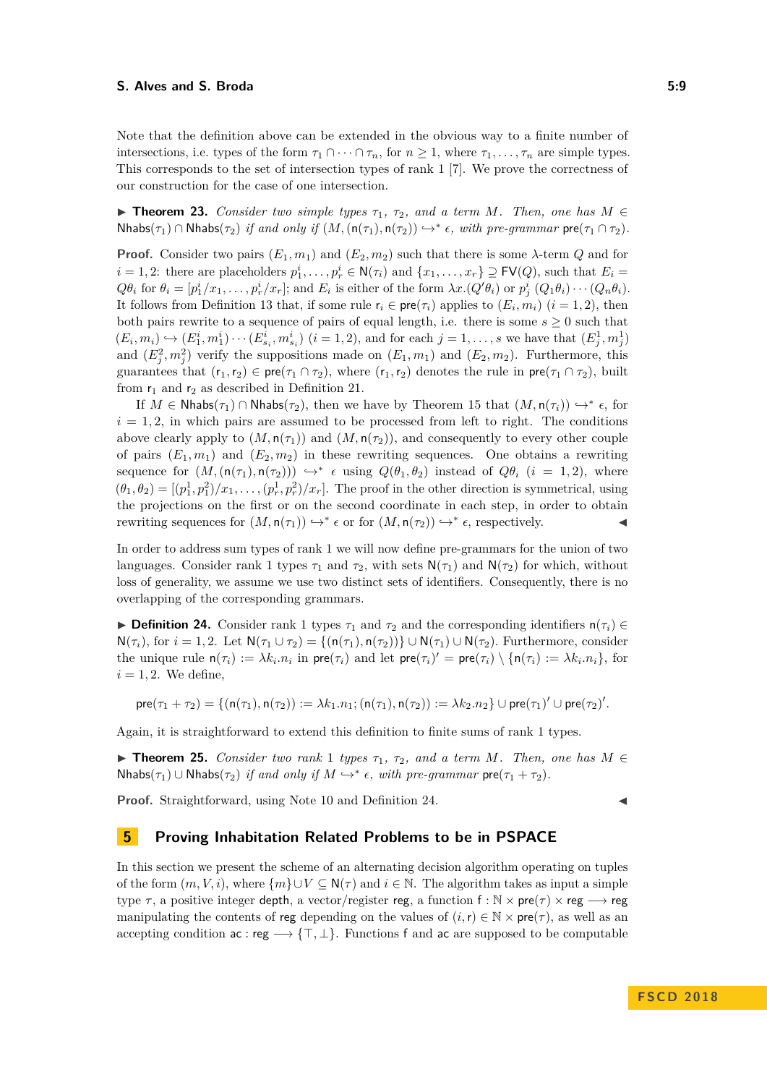Note that the definition above can be extended in the obvious way to a finite number of intersections, i.e. types of the form  $\tau_1 \cap \cdots \cap \tau_n$ , for  $n \geq 1$ , where  $\tau_1, \ldots, \tau_n$  are simple types. This corresponds to the set of intersection types of rank 1 [\[7\]](#page-14-9). We prove the correctness of our construction for the case of one intersection.

**► Theorem 23.** *Consider two simple types*  $\tau_1$ ,  $\tau_2$ , and a term M. Then, one has M ∈  $N$ habs( $\tau_1$ )  $\cap$   $N$ habs( $\tau_2$ ) *if and only if*  $(M, (n(\tau_1), n(\tau_2)) \hookrightarrow^* \epsilon$ , with pre-grammar  $\text{pre}(\tau_1 \cap \tau_2)$ .

**Proof.** Consider two pairs  $(E_1, m_1)$  and  $(E_2, m_2)$  such that there is some  $\lambda$ -term  $Q$  and for  $i = 1, 2$ : there are placeholders  $p_1^i, \ldots, p_r^i \in N(\tau_i)$  and  $\{x_1, \ldots, x_r\} \supseteq FV(Q)$ , such that  $E_i =$  $Q\theta_i$  for  $\theta_i = [p_1^i/x_1,\ldots,p_r^i/x_r]$ ; and  $E_i$  is either of the form  $\lambda x.(Q'\theta_i)$  or  $p_j^i(Q_1\theta_i)\cdots(Q_n\theta_i)$ . It follows from Definition [13](#page-4-2) that, if some rule  $r_i \in \text{pre}(\tau_i)$  applies to  $(E_i, m_i)$   $(i = 1, 2)$ , then both pairs rewrite to a sequence of pairs of equal length, i.e. there is some  $s \geq 0$  such that  $(E_i, m_i) \hookrightarrow (E_1^i, m_1^i) \cdots (E_{s_i}^i, m_{s_i}^i)$   $(i = 1, 2)$ , and for each  $j = 1, ..., s$  we have that  $(E_j^1, m_j^1)$ and  $(E_j^2, m_j^2)$  verify the suppositions made on  $(E_1, m_1)$  and  $(E_2, m_2)$ . Furthermore, this guarantees that  $(r_1, r_2) \in \text{pre}(\tau_1 \cap \tau_2)$ , where  $(r_1, r_2)$  denotes the rule in  $\text{pre}(\tau_1 \cap \tau_2)$ , built from  $r_1$  and  $r_2$  as described in Definition [21.](#page-7-0)

If  $M \in \mathsf{Nhabs}(\tau_1) \cap \mathsf{Nhabs}(\tau_2)$ , then we have by Theorem [15](#page-5-0) that  $(M, \mathsf{n}(\tau_i)) \hookrightarrow^* \epsilon$ , for  $i = 1, 2$ , in which pairs are assumed to be processed from left to right. The conditions above clearly apply to  $(M, n(\tau_1))$  and  $(M, n(\tau_2))$ , and consequently to every other couple of pairs  $(E_1, m_1)$  and  $(E_2, m_2)$  in these rewriting sequences. One obtains a rewriting sequence for  $(M, (\mathsf{n}(\tau_1), \mathsf{n}(\tau_2))) \hookrightarrow^* \epsilon$  using  $Q(\theta_1, \theta_2)$  instead of  $Q\theta_i$   $(i = 1, 2)$ , where  $(\theta_1, \theta_2) = \frac{(p_1^1, p_1^2)}{x_1, \ldots, (p_r^1, p_r^2)}$ . The proof in the other direction is symmetrical, using the projections on the first or on the second coordinate in each step, in order to obtain rewriting sequences for  $(M, \mathsf{n}(\tau_1)) \hookrightarrow^* \epsilon$  or for  $(M, \mathsf{n}(\tau_2)) \hookrightarrow^* \epsilon$ , respectively.

In order to address sum types of rank 1 we will now define pre-grammars for the union of two languages. Consider rank 1 types  $\tau_1$  and  $\tau_2$ , with sets  $N(\tau_1)$  and  $N(\tau_2)$  for which, without loss of generality, we assume we use two distinct sets of identifiers. Consequently, there is no overlapping of the corresponding grammars.

<span id="page-8-1"></span>**► Definition 24.** Consider rank 1 types  $\tau_1$  and  $\tau_2$  and the corresponding identifiers  $n(\tau_i) \in$  $N(\tau_i)$ , for  $i = 1, 2$ . Let  $N(\tau_1 \cup \tau_2) = \{(n(\tau_1), n(\tau_2))\} \cup N(\tau_1) \cup N(\tau_2)$ . Furthermore, consider the unique rule  $n(\tau_i) := \lambda k_i \cdot n_i$  in  $\text{pre}(\tau_i)$  and let  $\text{pre}(\tau_i)' = \text{pre}(\tau_i) \setminus \{n(\tau_i) := \lambda k_i \cdot n_i\}$ , for  $i = 1, 2$ . We define,

$$
\mathrm{pre}(\tau_1+\tau_2)=\{(\mathsf{n}(\tau_1),\mathsf{n}(\tau_2)):=\lambda k_1.n_1;(\mathsf{n}(\tau_1),\mathsf{n}(\tau_2)):=\lambda k_2.n_2\}\cup\mathrm{pre}(\tau_1)'\cup\mathrm{pre}(\tau_2)'.
$$

Again, it is straightforward to extend this definition to finite sums of rank 1 types.

**► Theorem 25.** *Consider two rank* 1 *types*  $\tau_1$ ,  $\tau_2$ , and a term *M*. Then, one has  $M \in$ Nhabs( $τ_1$ ) ∪ Nhabs( $τ_2$ ) *if and only if*  $M \hookrightarrow^* \epsilon$ , *with pre-grammar* pre( $τ_1 + τ_2$ )*.* 

**Proof.** Straightforward, using Note [10](#page-4-3) and Definition [24.](#page-8-1)

## <span id="page-8-0"></span>**5 Proving Inhabitation Related Problems to be in PSPACE**

In this section we present the scheme of an alternating decision algorithm operating on tuples of the form  $(m, V, i)$ , where  $\{m\} \cup V \subseteq N(\tau)$  and  $i \in \mathbb{N}$ . The algorithm takes as input a simple type  $\tau$ , a positive integer depth, a vector/register reg, a function  $f : \mathbb{N} \times pre(\tau) \times reg \longrightarrow reg$ manipulating the contents of reg depending on the values of  $(i, r) \in \mathbb{N} \times \text{pre}(\tau)$ , as well as an accepting condition  $ac : \text{reg} \longrightarrow \{\top, \bot\}$ . Functions f and ac are supposed to be computable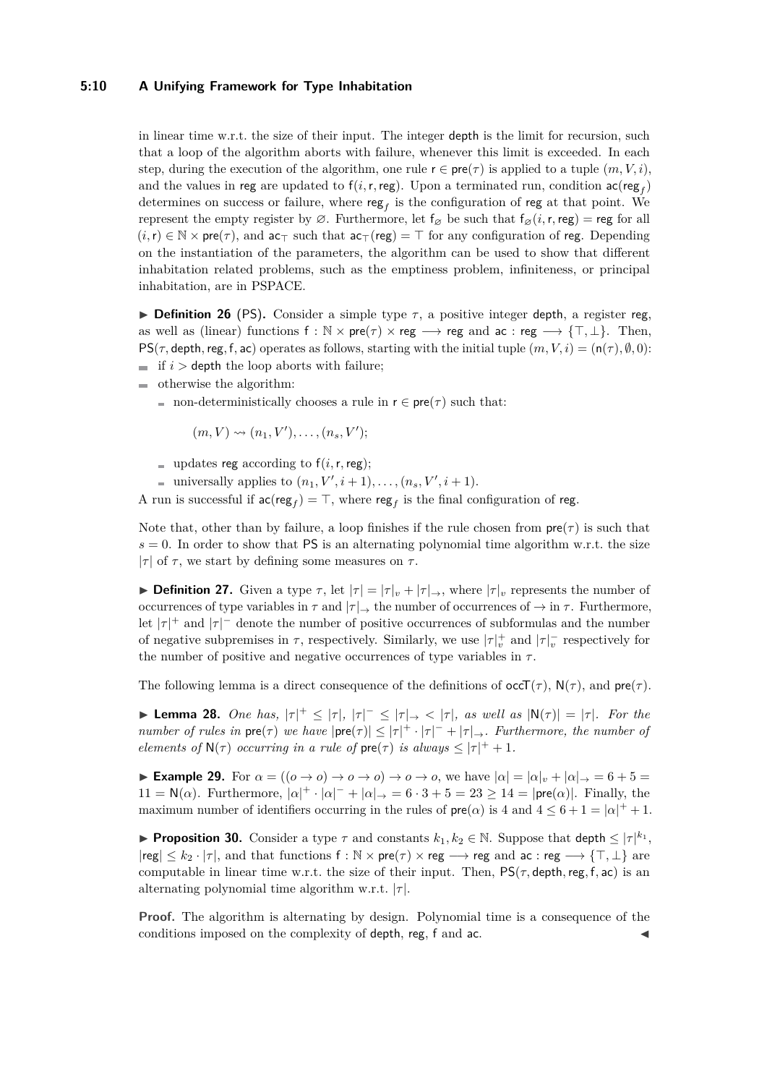### **5:10 A Unifying Framework for Type Inhabitation**

in linear time w.r.t. the size of their input. The integer depth is the limit for recursion, such that a loop of the algorithm aborts with failure, whenever this limit is exceeded. In each step, during the execution of the algorithm, one rule  $r \in pre(\tau)$  is applied to a tuple  $(m, V, i)$ , and the values in reg are updated to  $f(i,r,reg)$ . Upon a terminated run, condition  $\operatorname{\sf ac}(\operatorname{\sf reg}_f)$ determines on success or failure, where reg*<sup>f</sup>* is the configuration of reg at that point. We represent the empty register by  $\varnothing$ . Furthermore, let  $f_{\varnothing}$  be such that  $f_{\varnothing}(i,\mathsf{r},\mathsf{reg}) = \mathsf{reg}$  for all  $(i, r) \in \mathbb{N} \times \text{pre}(\tau)$ , and  $a\tau_{\tau}$  such that  $a\tau_{\tau}(reg) = \top$  for any configuration of reg. Depending on the instantiation of the parameters, the algorithm can be used to show that different inhabitation related problems, such as the emptiness problem, infiniteness, or principal inhabitation, are in PSPACE.

**Definition 26** (PS). Consider a simple type  $\tau$ , a positive integer depth, a register reg, as well as (linear) functions  $f : \mathbb{N} \times \text{pre}(\tau) \times \text{reg} \longrightarrow \text{reg}$  and  $\text{ac} : \text{reg} \longrightarrow \{\top, \bot\}.$  Then,  $PS(\tau, \text{depth}, \text{reg}, f, \text{ac})$  operates as follows, starting with the initial tuple  $(m, V, i) = (n(\tau), \emptyset, 0)$ : if  $i >$  depth the loop aborts with failure;

- otherwise the algorithm:
	- non-deterministically chooses a rule in  $r \in pre(\tau)$  such that:

 $(m, V) \rightsquigarrow (n_1, V'), \dots, (n_s, V');$ 

- updates reg according to  $f(i, r, \text{reg})$ ;
- universally applies to  $(n_1, V', i+1), \ldots, (n_s, V', i+1)$ .

A run is successful if  $\mathsf{ac}(\mathsf{reg}_f) = \top$ , where  $\mathsf{reg}_f$  is the final configuration of  $\mathsf{reg}.$ 

Note that, other than by failure, a loop finishes if the rule chosen from  $pre(\tau)$  is such that  $s = 0$ . In order to show that PS is an alternating polynomial time algorithm w.r.t. the size  $|\tau|$  of  $\tau$ , we start by defining some measures on  $\tau$ .

**Definition 27.** Given a type  $\tau$ , let  $|\tau| = |\tau|_v + |\tau|_v$ , where  $|\tau|_v$  represents the number of occurrences of type variables in  $\tau$  and  $|\tau|$ , the number of occurrences of  $\rightarrow$  in  $\tau$ . Furthermore, let  $|\tau|^+$  and  $|\tau^-|$  denote the number of positive occurrences of subformulas and the number of negative subpremises in  $\tau$ , respectively. Similarly, we use  $|\tau|_v^+$  and  $|\tau|_v^-$  respectively for the number of positive and negative occurrences of type variables in  $\tau$ .

The following lemma is a direct consequence of the definitions of  $\operatorname{occ}(\tau)$ ,  $N(\tau)$ , and  $\operatorname{pre}(\tau)$ .

► **Lemma 28.** *One has,*  $|\tau|^+ \leq |\tau|$ ,  $|\tau^-| \leq |\tau|$ ,  $\lt | \tau |$ , as well as  $|N(\tau)| = |\tau|$ *. For the number of rules in*  $\textsf{pre}(\tau)$  *we have*  $|\textsf{pre}(\tau)| \leq |\tau|^+ \cdot |\tau|^- + |\tau| \to$ *. Furthermore, the number of elements of*  $N(\tau)$  *occurring in a rule of*  $\text{pre}(\tau)$  *is always*  $\leq |\tau|^{+} + 1$ *.* 

**Example 29.** For  $\alpha = ((\alpha \to \alpha) \to \alpha \to \alpha) \to \alpha \to \alpha$ , we have  $|\alpha| = |\alpha|_v + |\alpha|_v = 6 + 5 =$  $11 = N(\alpha)$ . Furthermore,  $|\alpha|^+ \cdot |\alpha|^- + |\alpha| \to 6 \cdot 3 + 5 = 23 \ge 14 = |\text{pre}(\alpha)|$ . Finally, the maximum number of identifiers occurring in the rules of  $\mathsf{pre}(\alpha)$  is 4 and  $4 \leq 6 + 1 = |\alpha|^{+} + 1$ .

**Proposition 30.** Consider a type  $\tau$  and constants  $k_1, k_2 \in \mathbb{N}$ . Suppose that depth  $\leq |\tau|^{k_1}$ ,  $|\text{reg}| \leq k_2 \cdot |\tau|$ , and that functions  $f : \mathbb{N} \times \text{pre}(\tau) \times \text{reg} \longrightarrow \text{reg}$  and ac : reg  $\longrightarrow \{\top, \bot\}$  are computable in linear time w.r.t. the size of their input. Then,  $PS(\tau, \text{depth}, \text{reg}, f, \text{ac})$  is an alternating polynomial time algorithm w.r.t. |*τ* |.

**Proof.** The algorithm is alternating by design. Polynomial time is a consequence of the conditions imposed on the complexity of depth, reg, f and ac.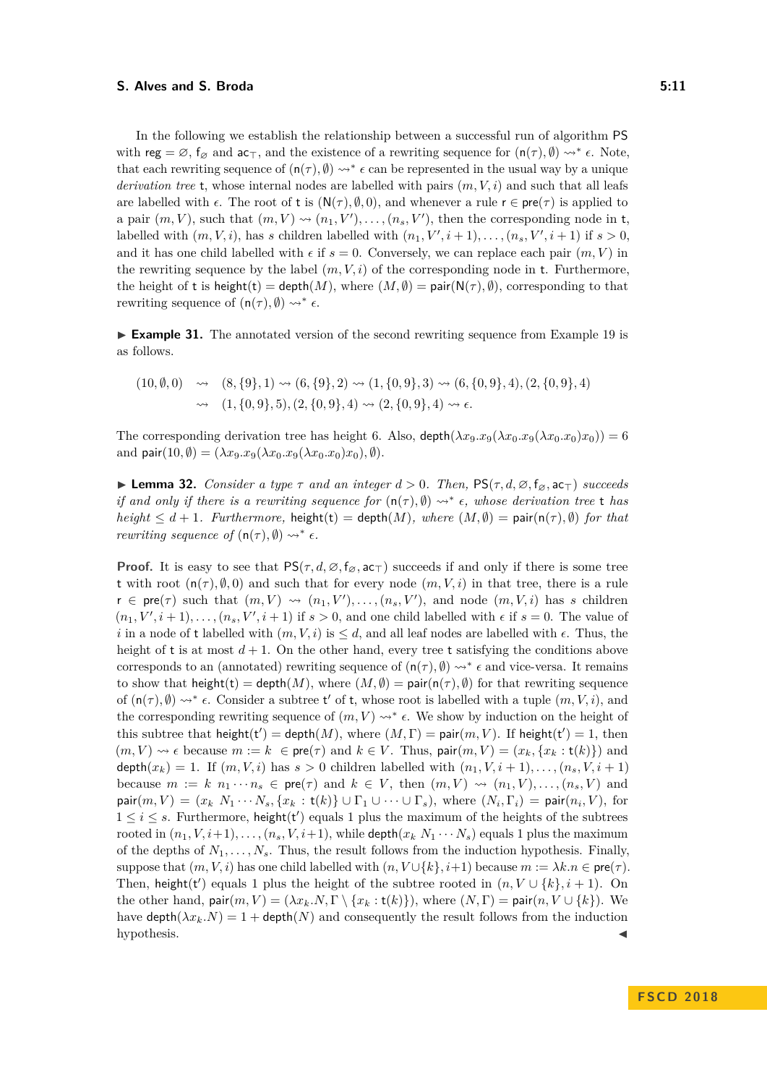In the following we establish the relationship between a successful run of algorithm PS with reg =  $\emptyset$ ,  $f_{\emptyset}$  and  $ac_{\top}$ , and the existence of a rewriting sequence for  $(n(\tau), \emptyset) \rightsquigarrow^* \epsilon$ . Note, that each rewriting sequence of  $(n(\tau), \emptyset) \leadsto^* \epsilon$  can be represented in the usual way by a unique *derivation tree* **t**, whose internal nodes are labelled with pairs  $(m, V, i)$  and such that all leafs are labelled with  $\epsilon$ . The root of t is  $(N(\tau), \emptyset, 0)$ , and whenever a rule  $r \in pre(\tau)$  is applied to a pair  $(m, V)$ , such that  $(m, V) \rightsquigarrow (n_1, V')$ ,  $\dots$ ,  $(n_s, V')$ , then the corresponding node in t, labelled with  $(m, V, i)$ , has *s* children labelled with  $(n_1, V', i + 1), \ldots, (n_s, V', i + 1)$  if  $s > 0$ , and it has one child labelled with  $\epsilon$  if  $s = 0$ . Conversely, we can replace each pair  $(m, V)$  in the rewriting sequence by the label  $(m, V, i)$  of the corresponding node in t. Furthermore, the height of t is height(t) = depth(*M*), where  $(M, \emptyset)$  = pair( $N(\tau), \emptyset$ ), corresponding to that rewriting sequence of  $(n(\tau), \emptyset) \rightsquigarrow^* \epsilon$ .

**Example 31.** The annotated version of the second rewriting sequence from Example [19](#page-6-2) is as follows.

$$
(10, \emptyset, 0) \rightsquigarrow (8, \{9\}, 1) \rightsquigarrow (6, \{9\}, 2) \rightsquigarrow (1, \{0, 9\}, 3) \rightsquigarrow (6, \{0, 9\}, 4), (2, \{0, 9\}, 4) \rightsquigarrow (1, \{0, 9\}, 5), (2, \{0, 9\}, 4) \rightsquigarrow (2, \{0, 9\}, 4) \rightsquigarrow \epsilon.
$$

The corresponding derivation tree has height 6. Also,  $\text{depth}(\lambda x_9 \cdot x_9(\lambda x_0 \cdot x_9(x_0 \cdot x_0)) = 6$ and  $\textsf{pair}(10, \emptyset) = (\lambda x_9 \cdot x_9(\lambda x_0 \cdot x_9(\lambda x_0 \cdot x_0) x_0), \emptyset).$ 

<span id="page-10-0"></span>**I Lemma 32.** *Consider a type*  $\tau$  *and an integer*  $d > 0$ *. Then,*  $PS(\tau, d, \emptyset, f_{\emptyset}, ac_{\top})$  *succeeds if and only if there is a rewriting sequence for*  $(n(\tau), \emptyset) \rightarrow^* \epsilon$ , whose derivation tree t has  $height \leq d + 1$ *. Furthermore,* height(t) = depth(M), where  $(M, \emptyset)$  = pair(n( $\tau$ ),  $\emptyset$ ) for that *rewriting sequence of*  $(n(\tau), \emptyset) \rightsquigarrow^* \epsilon$ .

**Proof.** It is easy to see that  $PS(\tau, d, \emptyset, f_{\emptyset}, a\tau)$  succeeds if and only if there is some tree t with root  $(n(\tau), \emptyset, 0)$  and such that for every node  $(m, V, i)$  in that tree, there is a rule  $r \in \text{pre}(\tau)$  such that  $(m, V) \rightsquigarrow (n_1, V'), \dots, (n_s, V'),$  and node  $(m, V, i)$  has *s* children  $(n_1, V', i+1), \ldots, (n_s, V', i+1)$  if  $s > 0$ , and one child labelled with  $\epsilon$  if  $s = 0$ . The value of *i* in a node of t labelled with  $(m, V, i)$  is  $\le d$ , and all leaf nodes are labelled with  $\epsilon$ . Thus, the height of t is at most  $d+1$ . On the other hand, every tree t satisfying the conditions above corresponds to an (annotated) rewriting sequence of  $(n(\tau), \emptyset) \leadsto^* \epsilon$  and vice-versa. It remains to show that height(t) = depth $(M)$ , where  $(M, \emptyset)$  = pair $(n(\tau), \emptyset)$  for that rewriting sequence of  $(n(\tau), \emptyset) \leadsto^* \epsilon$ . Consider a subtree t' of t, whose root is labelled with a tuple  $(m, V, i)$ , and the corresponding rewriting sequence of  $(m, V) \rightarrow^* \epsilon$ . We show by induction on the height of this subtree that  $\mathsf{height}(t') = \mathsf{depth}(M)$ , where  $(M, \Gamma) = \mathsf{pair}(m, V)$ . If  $\mathsf{height}(t') = 1$ , then  $(m, V) \rightsquigarrow \epsilon$  because  $m := k \in \text{pre}(\tau)$  and  $k \in V$ . Thus,  $\text{pair}(m, V) = (x_k, \{x_k : t(k)\})$  and depth $(x_k) = 1$ . If  $(m, V, i)$  has  $s > 0$  children labelled with  $(n_1, V, i + 1), \ldots, (n_s, V, i + 1)$ because  $m := k \, n_1 \cdots n_s \in \text{pre}(\tau)$  and  $k \in V$ , then  $(m, V) \rightsquigarrow (n_1, V), \ldots, (n_s, V)$  and  $\mathsf{pair}(m,V) = (x_k \ N_1 \cdots N_s, \{x_k : \mathsf{t}(k)\} \cup \Gamma_1 \cup \cdots \cup \Gamma_s), \text{ where } (N_i,\Gamma_i) = \mathsf{pair}(n_i,V), \text{ for }$  $1 \leq i \leq s$ . Furthermore, height(t') equals 1 plus the maximum of the heights of the subtrees rooted in  $(n_1, V, i+1), \ldots, (n_s, V, i+1)$ , while depth $(x_k, N_1 \cdots N_s)$  equals 1 plus the maximum of the depths of  $N_1, \ldots, N_s$ . Thus, the result follows from the induction hypothesis. Finally, suppose that  $(m, V, i)$  has one child labelled with  $(n, V \cup \{k\}, i+1)$  because  $m := \lambda k.n \in \text{pre}(\tau)$ . Then, height(t') equals 1 plus the height of the subtree rooted in  $(n, V \cup \{k\}, i + 1)$ . On the other hand,  $\text{pair}(m, V) = (\lambda x_k \cdot N, \Gamma \setminus \{x_k : \text{t}(k)\})$ , where  $(N, \Gamma) = \text{pair}(n, V \cup \{k\})$ . We have depth $(\lambda x_k \cdot N) = 1 +$  depth $(N)$  and consequently the result follows from the induction hypothesis.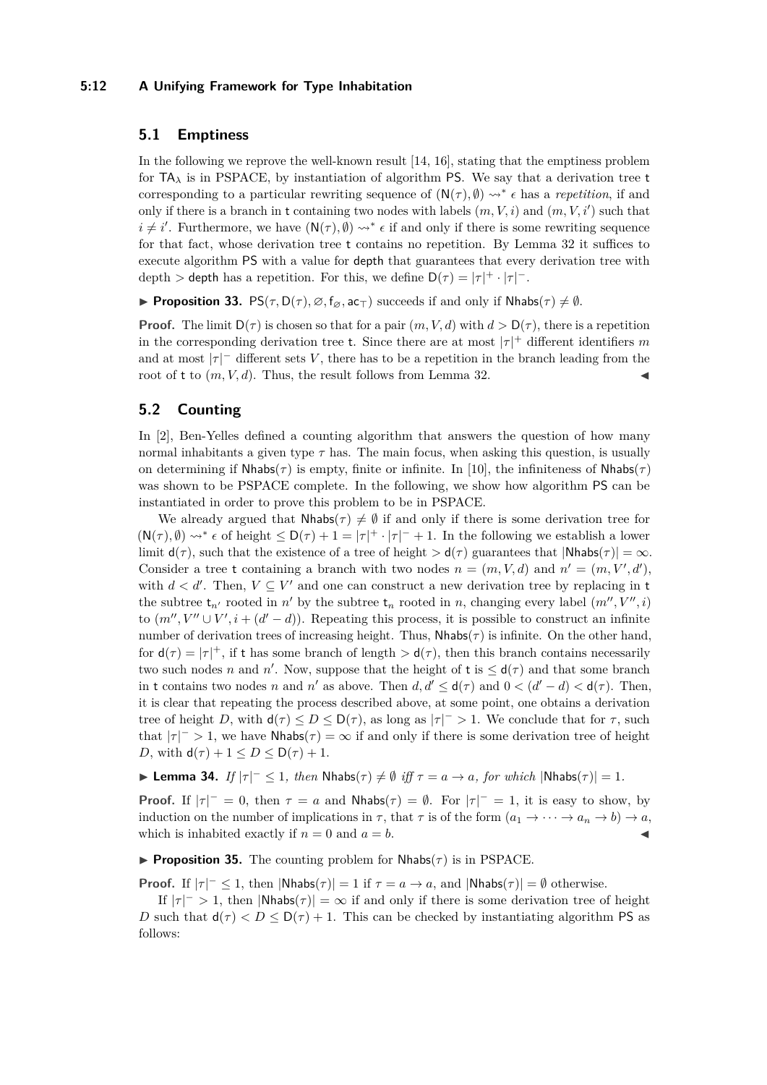### **5:12 A Unifying Framework for Type Inhabitation**

## **5.1 Emptiness**

In the following we reprove the well-known result [\[14,](#page-15-1) [16\]](#page-15-6), stating that the emptiness problem for  $TA_{\lambda}$  is in PSPACE, by instantiation of algorithm PS. We say that a derivation tree t corresponding to a particular rewriting sequence of  $(N(\tau), \emptyset) \rightsquigarrow^* \epsilon$  has a *repetition*, if and only if there is a branch in t containing two nodes with labels  $(m, V, i)$  and  $(m, V, i')$  such that  $i \neq i'$ . Furthermore, we have  $(N(\tau), \emptyset) \rightsquigarrow^* \epsilon$  if and only if there is some rewriting sequence for that fact, whose derivation tree t contains no repetition. By Lemma [32](#page-10-0) it suffices to execute algorithm PS with a value for depth that guarantees that every derivation tree with depth > depth has a repetition. For this, we define  $D(\tau) = |\tau| + |\tau|$ .

**Proposition 33.** PS( $\tau$ , D( $\tau$ )*,*  $\varnothing$ ,  $f_{\varnothing}$ , ac<sub> $\tau$ </sub>) succeeds if and only if Nhabs( $\tau$ )  $\neq \emptyset$ .

**Proof.** The limit  $D(\tau)$  is chosen so that for a pair  $(m, V, d)$  with  $d > D(\tau)$ , there is a repetition in the corresponding derivation tree **t**. Since there are at most  $|\tau|^+$  different identifiers m and at most  $|\tau|$ <sup>-</sup> different sets *V*, there has to be a repetition in the branch leading from the root of t to  $(m, V, d)$ . Thus, the result follows from Lemma [32.](#page-10-0)

## **5.2 Counting**

In [\[2\]](#page-14-0), Ben-Yelles defined a counting algorithm that answers the question of how many normal inhabitants a given type  $\tau$  has. The main focus, when asking this question, is usually on determining if  $N$ habs( $\tau$ ) is empty, finite or infinite. In [\[10\]](#page-14-3), the infiniteness of  $N$ habs( $\tau$ ) was shown to be PSPACE complete. In the following, we show how algorithm PS can be instantiated in order to prove this problem to be in PSPACE.

We already argued that  $N$ habs( $\tau$ )  $\neq$  Ø if and only if there is some derivation tree for  $(N(\tau), \emptyset) \rightsquigarrow^* \epsilon$  of height  $\leq D(\tau) + 1 = |\tau|^+ \cdot |\tau|^- + 1$ . In the following we establish a lower limit  $d(\tau)$ , such that the existence of a tree of height  $>d(\tau)$  guarantees that  $|\text{Nhabs}(\tau)| = \infty$ . Consider a tree t containing a branch with two nodes  $n = (m, V, d)$  and  $n' = (m, V', d')$ , with  $d < d'$ . Then,  $V \subseteq V'$  and one can construct a new derivation tree by replacing in t the subtree  $t_{n'}$  rooted in  $n'$  by the subtree  $t_n$  rooted in *n*, changing every label  $(m'', V'', i)$ to  $(m'', V'' \cup V', i + (d' - d))$ . Repeating this process, it is possible to construct an infinite number of derivation trees of increasing height. Thus,  $N$ habs( $\tau$ ) is infinite. On the other hand, for  $d(\tau) = |\tau|^+$ , if t has some branch of length  $>d(\tau)$ , then this branch contains necessarily two such nodes *n* and *n'*. Now, suppose that the height of **t** is  $\leq d(\tau)$  and that some branch in t contains two nodes *n* and *n'* as above. Then  $d, d' \leq d(\tau)$  and  $0 < (d' - d) < d(\tau)$ . Then, it is clear that repeating the process described above, at some point, one obtains a derivation tree of height *D*, with  $d(\tau) \le D \le D(\tau)$ , as long as  $|\tau|$ <sup>-</sup> > 1. We conclude that for  $\tau$ , such that  $|\tau|$ <sup>-</sup> > 1, we have Nhabs( $\tau$ ) =  $\infty$  if and only if there is some derivation tree of height *D*, with  $d(\tau) + 1 \leq D \leq D(\tau) + 1$ .

► Lemma 34. *If*  $|\tau|^{-} \leq 1$ , then  $N$ habs $(\tau) \neq \emptyset$  *iff*  $\tau = a \rightarrow a$ , for which  $|N$ habs $(\tau)| = 1$ .

**Proof.** If  $|\tau|^{-} = 0$ , then  $\tau = a$  and Nhabs( $\tau$ ) =  $\emptyset$ . For  $|\tau|^{-} = 1$ , it is easy to show, by induction on the number of implications in  $\tau$ , that  $\tau$  is of the form  $(a_1 \rightarrow \cdots \rightarrow a_n \rightarrow b) \rightarrow a$ , which is inhabited exactly if  $n = 0$  and  $a = b$ .

**Proposition 35.** The counting problem for  $N$ habs $(\tau)$  is in PSPACE.

**Proof.** If  $|\tau|^-\leq 1$ , then  $|\mathsf{Nhabs}(\tau)|=1$  if  $\tau=a\to a$ , and  $|\mathsf{Nhabs}(\tau)|=\emptyset$  otherwise.

If  $|\tau|^->1$ , then  $|\mathsf{Nhashs}(\tau)| = \infty$  if and only if there is some derivation tree of height *D* such that  $d(\tau) < D \leq D(\tau) + 1$ . This can be checked by instantiating algorithm PS as follows: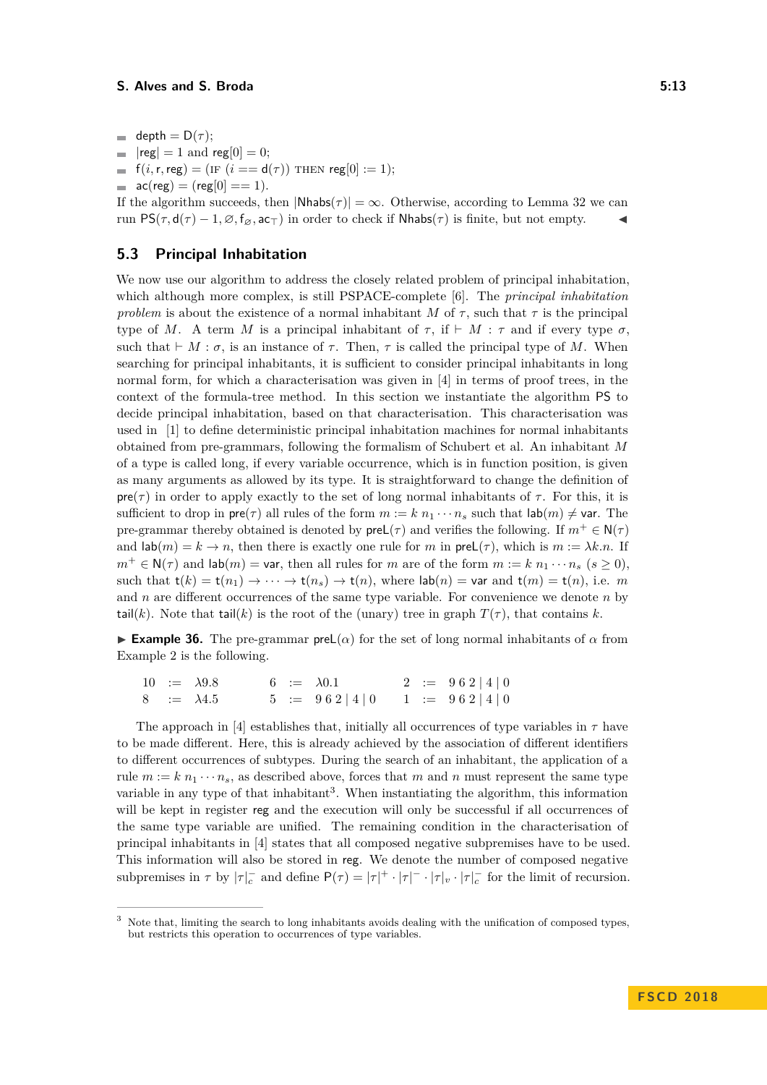- $depth = D(\tau)$ ; m.
- $|reg| = 1$  and  $reg[0] = 0$ ;  $\sim$
- $f(i, r, \text{reg}) = (\text{IF } (i == d(\tau)) \text{ THEN } \text{reg}[0] := 1);$
- $\blacksquare$  ac(reg) = (reg[0] = 1).

If the algorithm succeeds, then  $|\text{Nhabs}(\tau)| = \infty$ . Otherwise, according to Lemma [32](#page-10-0) we can run  $PS(\tau, d(\tau) - 1, \emptyset, f_{\emptyset}, ac_{\tau})$  in order to check if  $Nhabs(\tau)$  is finite, but not empty.

## **5.3 Principal Inhabitation**

We now use our algorithm to address the closely related problem of principal inhabitation, which although more complex, is still PSPACE-complete [\[6\]](#page-14-4). The *principal inhabitation problem* is about the existence of a normal inhabitant *M* of  $\tau$ , such that  $\tau$  is the principal type of *M*. A term *M* is a principal inhabitant of  $\tau$ , if  $\vdash$  *M* :  $\tau$  and if every type  $\sigma$ , such that  $\vdash M : \sigma$ , is an instance of  $\tau$ . Then,  $\tau$  is called the principal type of M. When searching for principal inhabitants, it is sufficient to consider principal inhabitants in long normal form, for which a characterisation was given in [\[4\]](#page-14-5) in terms of proof trees, in the context of the formula-tree method. In this section we instantiate the algorithm PS to decide principal inhabitation, based on that characterisation. This characterisation was used in [\[1\]](#page-14-10) to define deterministic principal inhabitation machines for normal inhabitants obtained from pre-grammars, following the formalism of Schubert et al. An inhabitant *M* of a type is called long, if every variable occurrence, which is in function position, is given as many arguments as allowed by its type. It is straightforward to change the definition of  $pre(\tau)$  in order to apply exactly to the set of long normal inhabitants of  $\tau$ . For this, it is sufficient to drop in  $\mathsf{pre}(\tau)$  all rules of the form  $m := k \, n_1 \cdots n_s$  such that  $\mathsf{lab}(m) \neq \mathsf{var}$ . The pre-grammar thereby obtained is denoted by  $\text{preL}(\tau)$  and verifies the following. If  $m^+ \in N(\tau)$ and  $\textsf{lab}(m) = k \to n$ , then there is exactly one rule for *m* in  $\textsf{preL}(\tau)$ , which is  $m := \lambda k.n$ . If  $m^+ \in N(\tau)$  and lab(*m*) = var, then all rules for *m* are of the form  $m := k n_1 \cdots n_s$  ( $s \ge 0$ ), such that  $t(k) = t(n_1) \rightarrow \cdots \rightarrow t(n_s) \rightarrow t(n)$ , where  $\text{lab}(n) = \text{var}$  and  $t(m) = t(n)$ , i.e. m and *n* are different occurrences of the same type variable. For convenience we denote *n* by tail(*k*). Note that tail(*k*) is the root of the (unary) tree in graph  $T(\tau)$ , that contains *k*.

**Example 36.** The pre-grammar  $\text{preL}(\alpha)$  for the set of long normal inhabitants of  $\alpha$  from Example [2](#page-2-1) is the following.

10 :=  $\lambda$ 9.8 6 :=  $\lambda$ 0.1 2 := 9 6 2 | 4 | 0  $8 \quad := \quad \lambda 4.5 \quad 5 \quad := \quad 9 \cdot 6 \cdot 2 \cdot 4 \cdot 0 \quad 1 \quad := \quad 9 \cdot 6 \cdot 2 \cdot 4 \cdot 0$ 

The approach in [\[4\]](#page-14-5) establishes that, initially all occurrences of type variables in  $\tau$  have to be made different. Here, this is already achieved by the association of different identifiers to different occurrences of subtypes. During the search of an inhabitant, the application of a rule  $m := k n_1 \cdots n_s$ , as described above, forces that  $m$  and  $n$  must represent the same type variable in any type of that inhabitant<sup>[3](#page-12-0)</sup>. When instantiating the algorithm, this information will be kept in register reg and the execution will only be successful if all occurrences of the same type variable are unified. The remaining condition in the characterisation of principal inhabitants in [\[4\]](#page-14-5) states that all composed negative subpremises have to be used. This information will also be stored in reg. We denote the number of composed negative subpremises in  $\tau$  by  $|\tau|_c^-$  and define  $P(\tau) = |\tau|^+ \cdot |\tau|^- \cdot |\tau|_v \cdot |\tau|_c^-$  for the limit of recursion.

<span id="page-12-0"></span><sup>&</sup>lt;sup>3</sup> Note that, limiting the search to long inhabitants avoids dealing with the unification of composed types, but restricts this operation to occurrences of type variables.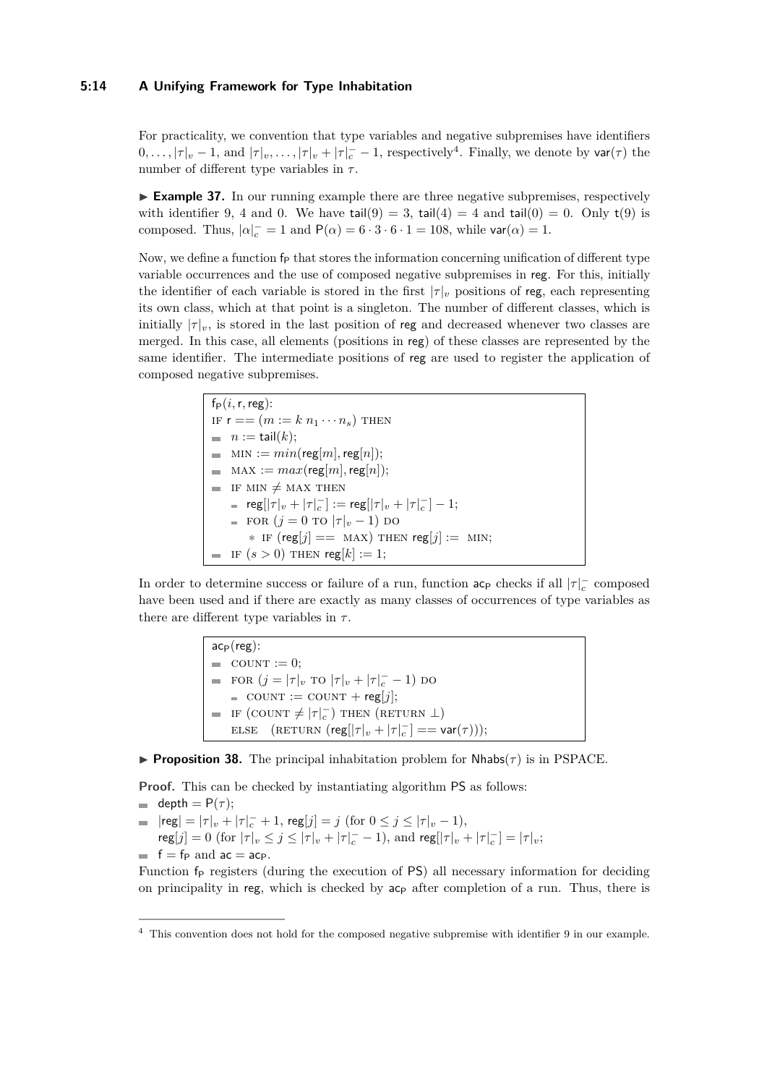### **5:14 A Unifying Framework for Type Inhabitation**

For practicality, we convention that type variables and negative subpremises have identifiers  $0, \ldots, |\tau|_v - 1$ , and  $|\tau|_v, \ldots, |\tau|_v + |\tau|_c^- - 1$ , respectively<sup>[4](#page-13-0)</sup>. Finally, we denote by  $\mathsf{var}(\tau)$  the number of different type variables in *τ* .

► **Example 37.** In our running example there are three negative subpremises, respectively with identifier 9, 4 and 0. We have  $\text{tail}(9) = 3$ ,  $\text{tail}(4) = 4$  and  $\text{tail}(0) = 0$ . Only  $\text{t}(9)$  is composed. Thus,  $|\alpha|_c = 1$  and  $P(\alpha) = 6 \cdot 3 \cdot 6 \cdot 1 = 108$ , while var $(\alpha) = 1$ .

Now, we define a function  $f_P$  that stores the information concerning unification of different type variable occurrences and the use of composed negative subpremises in reg. For this, initially the identifier of each variable is stored in the first  $|\tau|_v$  positions of reg, each representing its own class, which at that point is a singleton. The number of different classes, which is initially  $|\tau|_v$ , is stored in the last position of reg and decreased whenever two classes are merged. In this case, all elements (positions in reg) of these classes are represented by the same identifier. The intermediate positions of reg are used to register the application of composed negative subpremises.

> $\mathsf{f}_{\mathsf{P}}(i,\mathsf{r},\mathsf{reg})$ : if  $\mathbf{r} = (m := k \ n_1 \cdots n_s)$  then  $n := \mathsf{tail}(k);$  $\text{MIN} := min(\text{reg}[m], \text{reg}[n]);$  $\text{MAX} := max(\text{reg}[m], \text{reg}[n]);$ IF MIN  $\neq$  MAX THEN  $\mathsf{reg}[|\tau|_v + |\tau|_c^-] := \mathsf{reg}[|\tau|_v + |\tau|_c^-] - 1;$  $FOR$   $(j = 0 \text{ to } |\tau|_v - 1)$  DO  $*$  IF (reg[ $j$ ] == MAX) THEN reg[ $j$ ] := MIN; IF  $(s > 0)$  THEN  $reg[k] := 1;$

In order to determine success or failure of a run, function  $ac_P$  checks if all  $|\tau|_c^-$  composed have been used and if there are exactly as many classes of occurrences of type variables as there are different type variables in  $\tau$ .

> $acp(reg):$  $\text{COUNT} := 0;$  $FOR$   $(j = |\tau|_v$  TO  $|\tau|_v + |\tau|_c^- - 1)$  DO  $\text{COUNT} := \text{COUNT} + \text{reg}[j];$ IF (COUNT  $\neq |\tau|_c^-$ ) THEN (RETURN  $\bot$ ) ELSE  $(\text{RETURN (reg[|\tau|_v + |\tau|_c^-]) == \text{var}(\tau)));$

**Proposition 38.** The principal inhabitation problem for  $N$ habs( $\tau$ ) is in PSPACE.

**Proof.** This can be checked by instantiating algorithm PS as follows:

- $\blacksquare$  depth =  $P(\tau)$ ;
- $|\text{reg}| = |\tau|_v + |\tau|_c^- + 1$ ,  $\text{reg}[j] = j$  (for  $0 \le j \le |\tau|_v 1$ ),
- $\text{reg}[j] = 0 \text{ (for } |\tau|_v \leq j \leq |\tau|_v + |\tau|_c^- 1), \text{ and } \text{reg}[|\tau|_v + |\tau|_c^-] = |\tau|_v;$  $f = f_P$  and  $ac = ac_P$ .

Function  $f_P$  registers (during the execution of PS) all necessary information for deciding on principality in reg, which is checked by  $ac<sub>P</sub>$  after completion of a run. Thus, there is

<span id="page-13-0"></span><sup>4</sup> This convention does not hold for the composed negative subpremise with identifier 9 in our example.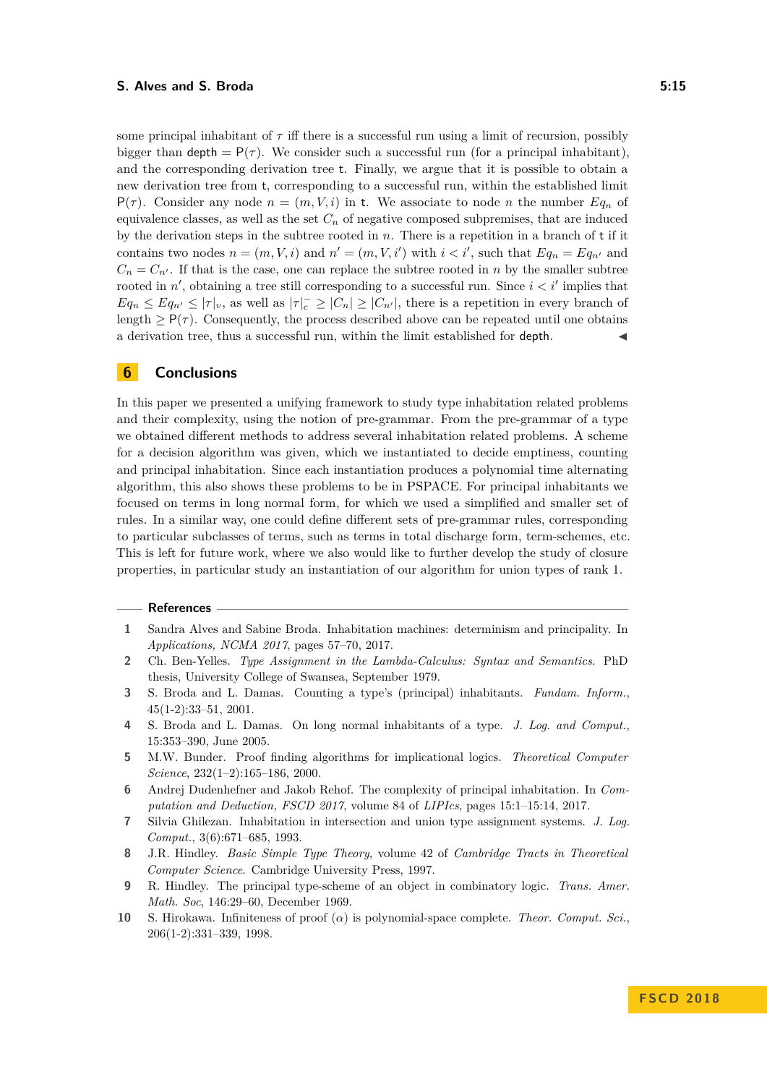some principal inhabitant of  $\tau$  iff there is a successful run using a limit of recursion, possibly bigger than depth  $= P(\tau)$ . We consider such a successful run (for a principal inhabitant), and the corresponding derivation tree t. Finally, we argue that it is possible to obtain a new derivation tree from t, corresponding to a successful run, within the established limit  $P(\tau)$ . Consider any node  $n = (m, V, i)$  in t. We associate to node *n* the number  $Eq_n$  of equivalence classes, as well as the set  $C_n$  of negative composed subpremises, that are induced by the derivation steps in the subtree rooted in *n*. There is a repetition in a branch of t if it contains two nodes  $n = (m, V, i)$  and  $n' = (m, V, i')$  with  $i < i'$ , such that  $Eq_n = Eq_{n'}$  and  $C_n = C_{n'}$ . If that is the case, one can replace the subtree rooted in *n* by the smaller subtree rooted in  $n'$ , obtaining a tree still corresponding to a successful run. Since  $i < i'$  implies that  $Eq_n \leq Eq_n \leq |\tau|_v$ , as well as  $|\tau|_c \geq |C_n| \geq |C_{n'}|$ , there is a repetition in every branch of length  $\geq P(\tau)$ . Consequently, the process described above can be repeated until one obtains a derivation tree, thus a successful run, within the limit established for depth.

## <span id="page-14-7"></span>**6 Conclusions**

In this paper we presented a unifying framework to study type inhabitation related problems and their complexity, using the notion of pre-grammar. From the pre-grammar of a type we obtained different methods to address several inhabitation related problems. A scheme for a decision algorithm was given, which we instantiated to decide emptiness, counting and principal inhabitation. Since each instantiation produces a polynomial time alternating algorithm, this also shows these problems to be in PSPACE. For principal inhabitants we focused on terms in long normal form, for which we used a simplified and smaller set of rules. In a similar way, one could define different sets of pre-grammar rules, corresponding to particular subclasses of terms, such as terms in total discharge form, term-schemes, etc. This is left for future work, where we also would like to further develop the study of closure properties, in particular study an instantiation of our algorithm for union types of rank 1.

#### **References**

- <span id="page-14-10"></span>**1** Sandra Alves and Sabine Broda. Inhabitation machines: determinism and principality. In *Applications, NCMA 2017*, pages 57–70, 2017.
- <span id="page-14-0"></span>**2** Ch. Ben-Yelles. *Type Assignment in the Lambda-Calculus: Syntax and Semantics*. PhD thesis, University College of Swansea, September 1979.
- <span id="page-14-1"></span>**3** S. Broda and L. Damas. Counting a type's (principal) inhabitants. *Fundam. Inform.*, 45(1-2):33–51, 2001.
- <span id="page-14-5"></span>**4** S. Broda and L. Damas. On long normal inhabitants of a type. *J. Log. and Comput.*, 15:353–390, June 2005.
- <span id="page-14-2"></span>**5** M.W. Bunder. Proof finding algorithms for implicational logics. *Theoretical Computer Science*, 232(1–2):165–186, 2000.
- <span id="page-14-4"></span>**6** Andrej Dudenhefner and Jakob Rehof. The complexity of principal inhabitation. In *Computation and Deduction, FSCD 2017*, volume 84 of *LIPIcs*, pages 15:1–15:14, 2017.
- <span id="page-14-9"></span>**7** Silvia Ghilezan. Inhabitation in intersection and union type assignment systems. *J. Log. Comput.*, 3(6):671–685, 1993.
- <span id="page-14-8"></span>**8** J.R. Hindley. *Basic Simple Type Theory*, volume 42 of *Cambridge Tracts in Theoretical Computer Science*. Cambridge University Press, 1997.
- <span id="page-14-6"></span>**9** R. Hindley. The principal type-scheme of an object in combinatory logic. *Trans. Amer. Math. Soc*, 146:29–60, December 1969.
- <span id="page-14-3"></span>**10** S. Hirokawa. Infiniteness of proof (*α*) is polynomial-space complete. *Theor. Comput. Sci.*, 206(1-2):331–339, 1998.